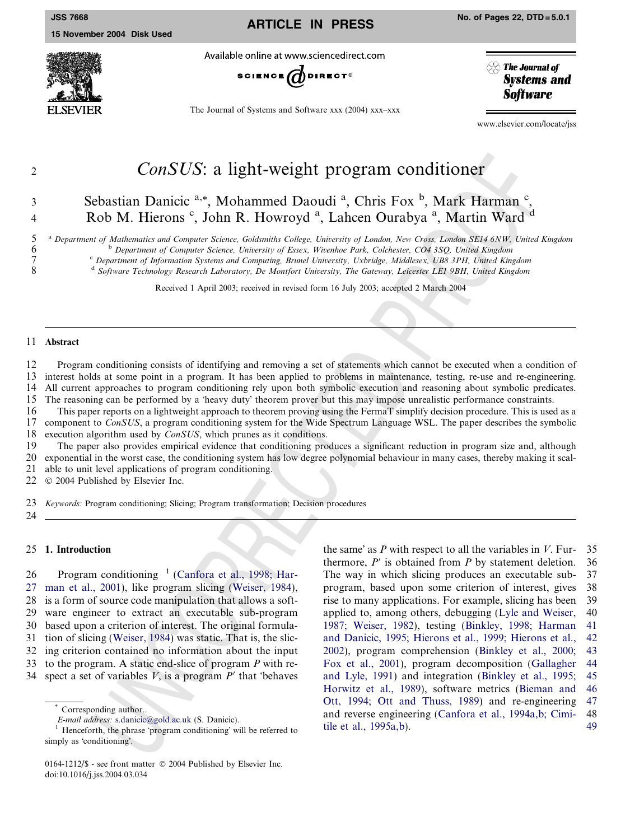ARTICLE IN PRESS

Available online at www.sciencedirect.com



SCIENCE  $\omega$  Direct®

The Journal of Systems and Software xxx (2004) xxx–xxx

 $\otimes$  The Journal of **Systems and Software** 

www.elsevier.com/locate/jss

# <sup>2</sup> ConSUS: a light-weight program conditioner

3 Sebastian Danicic <sup>a,\*</sup>, Mohammed Daoudi<sup>a</sup>, Chris Fox <sup>b</sup>, Mark Harman<sup>c</sup>, 4 Rob M. Hierons <sup>c</sup>, John R. Howroyd<sup>a</sup>, Lahcen Ourabya<sup>a</sup>, Martin Ward<sup>d</sup>

<sup>5</sup> a Department of Mathematics and Computer Science, Goldsmiths College, University of London, New Cross, London SE14 6NW, United Kingdom<br>6 b Department of Computer Science, University of Essex, Wivenhoe Park, Colchester,

<sup>b</sup> Department of Computer Science, University of Essex, Wivenhoe Park, Colchester, CO4 3SQ, United Kingdom

<sup>c</sup> Department of Information Systems and Computing, Brunel University, Uxbridge, Middlesex, UB8 3PH, United Kingdom<br>8 <sup>d</sup> Software Technology Research Laboratory De Montfort University The Gateway Leicester LE1 9BH, Unite

<sup>d</sup> Software Technology Research Laboratory, De Montfort University, The Gateway, Leicester LE1 9BH, United Kingdom

Received 1 April 2003; received in revised form 16 July 2003; accepted 2 March 2004

#### 11 Abstract

12 Program conditioning consists of identifying and removing a set of statements which cannot be executed when a condition of

13 interest holds at some point in a program. It has been applied to problems in maintenance, testing, re-use and re-engineering.

14 All current approaches to program conditioning rely upon both symbolic execution and reasoning about symbolic predicates. 15 The reasoning can be performed by a 'heavy duty' theorem prover but this may impose unrealistic performance constraints.

16 This paper reports on a lightweight approach to theorem proving using the FermaT simplify decision procedure. This is used as a

17 component to ConSUS, a program conditioning system for the Wide Spectrum Language WSL. The paper describes the symbolic 18 execution algorithm used by ConSUS, which prunes as it conditions.

19 The paper also provides empirical evidence that conditioning produces a significant reduction in program size and, although 20 exponential in the worst case, the conditioning system has low degree polynomial behaviour i exponential in the worst case, the conditioning system has low degree polynomial behaviour in many cases, thereby making it scal-21 able to unit level applications of program conditioning.

22 © 2004 Published by Elsevier Inc.

23 *Keywords:* Program conditioning; Slicing; Program transformation; Decision procedures

24

#### 25 1. Introduction

26 Program conditioning  $\frac{1}{2}$  (Canfora et al., 1998; Har-27 [man et al., 2001\)](#page-19-0), like program slicing (Weiser, 1984), 28 is a form of source code manipulation that allows a soft-29 ware engineer to extract an executable sub-program 30 based upon a criterion of interest. The original formula-31 tion of slicing (Weiser, 1984) was static. That is, the slic-32 ing criterion contained no information about the input 33 to the program. A static end-slice of program P with re-34 spect a set of variables  $V$ , is a program  $P'$  that 'behaves

\* Corresponding author..<br>E-mail address: s.danicic@gold.ac.uk (S. Danicic).

*E-mail address:* s.danicic@gold.ac.uk (S. Danicic).<br><sup>1</sup> Henceforth, the phrase 'program conditioning' will be referred to simply as 'conditioning'.

Consistion Daniel Co. 3. In ight-weight program conditioner<br>
ebastian Daniel e & , Mohammed Daoudi <sup>a</sup>, Chris Fox <sup>b</sup>, Mark Harman <sup>c</sup>,<br>
clob M. Hierons ", John R. Howroyd ", Laheen Ourabya ", Marki Harman ",<br>
clob M. Hie the same' as  $P$  with respect to all the variables in  $V$ . Fur- 35 thermore,  $P'$  is obtained from P by statement deletion. 36 The way in which slicing produces an executable sub- 37 program, based upon some criterion of interest, gives 38 rise to many applications. For example, slicing has been 39 applied to, among others, debugging [\(Lyle and Weiser,](#page-20-0) 40 1987; Weiser, 1982), testing ([Binkley, 1998; Harman](#page-19-0) 41 [and Danicic, 1995; Hierons et al., 1999; Hierons et al.,](#page-19-0) 42 2002), program comprehension ([Binkley et al., 2000;](#page-19-0) 43 Fox et al., 2001), program decomposition [\(Gallagher](#page-20-0) 44 and Lyle, 1991) and integration [\(Binkley et al., 1995;](#page-19-0) 45 [Horwitz et al., 1989\)](#page-19-0), software metrics ([Bieman and](#page-19-0) 46 [Ott, 1994; Ott and Thuss, 1989](#page-19-0)) and re-engineering 47 and reverse engineering [\(Canfora et al., 1994a,b; Cimi-](#page-19-0) 48 tile et al., 1995a,b). 49

<sup>0164-1212/\$ -</sup> see front matter  $\odot$  2004 Published by Elsevier Inc. doi:10.1016/j.jss.2004.03.034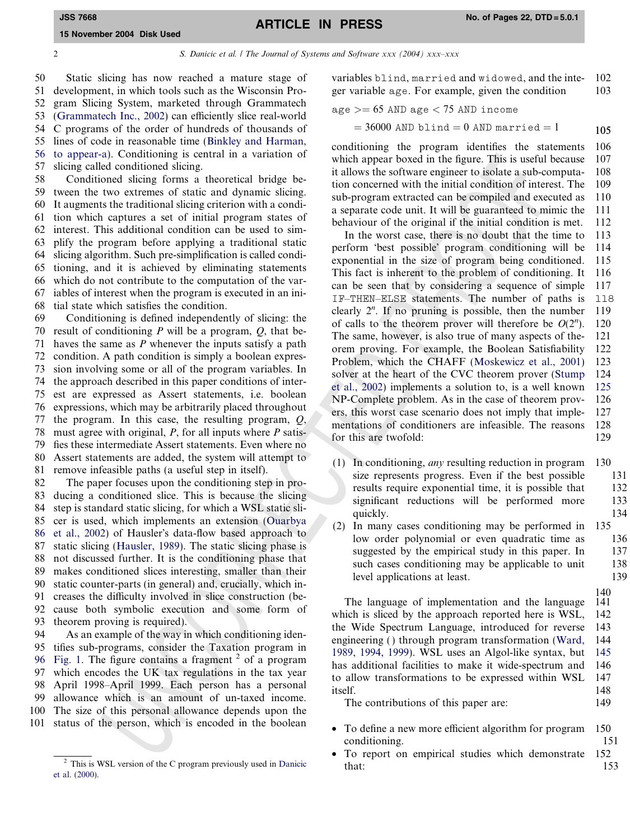2 S. Danicic et al. / The Journal of Systems and Software xxx (2004) xxx–xxx

50 Static slicing has now reached a mature stage of 51 development, in which tools such as the Wisconsin Pro-52 gram Slicing System, marketed through Grammatech 53 ([Grammatech Inc., 2002\)](#page-20-0) can efficiently slice real-world 54 C programs of the order of hundreds of thousands of 55 lines of code in reasonable time ([Binkley and Harman,](#page-19-0) 56 [to appear-a](#page-19-0)). Conditioning is central in a variation of 57 slicing called conditioned slicing.

58 Conditioned slicing forms a theoretical bridge be-59 tween the two extremes of static and dynamic slicing. 60 It augments the traditional slicing criterion with a condi-61 tion which captures a set of initial program states of 62 interest. This additional condition can be used to sim-63 plify the program before applying a traditional static 64 slicing algorithm. Such pre-simplification is called condi-65 tioning, and it is achieved by eliminating statements 66 which do not contribute to the computation of the var-67 iables of interest when the program is executed in an ini-68 tial state which satisfies the condition.

69 Conditioning is defined independently of slicing: the 70 result of conditioning  $P$  will be a program,  $Q$ , that be-71 haves the same as P whenever the inputs satisfy a path 72 condition. A path condition is simply a boolean expres-73 sion involving some or all of the program variables. In 74 the approach described in this paper conditions of inter-75 est are expressed as Assert statements, i.e. boolean 76 expressions, which may be arbitrarily placed throughout 77 the program. In this case, the resulting program, Q, 78 must agree with original,  $P$ , for all inputs where  $P$  satis-79 fies these intermediate Assert statements. Even where no 80 Assert statements are added, the system will attempt to 81 remove infeasible paths (a useful step in itself).

82 The paper focuses upon the conditioning step in pro-83 ducing a conditioned slice. This is because the slicing 84 step is standard static slicing, for which a WSL static sli-85 cer is used, which implements an extension (Ouarbya 86 [et al., 2002\)](#page-20-0) of Hausler's data-flow based approach to 87 static slicing (Hausler, 1989). The static slicing phase is 88 not discussed further. It is the conditioning phase that 89 makes conditioned slices interesting, smaller than their 90 static counter-parts (in general) and, crucially, which in-91 creases the difficulty involved in slice construction (be-92 cause both symbolic execution and some form of 93 theorem proving is required).

94 As an example of the way in which conditioning iden-95 tifies sub-programs, consider the Taxation program in 96 [Fig. 1.](#page-2-0) The figure contains a fragment  $2$  of a program 97 which encodes the UK tax regulations in the tax year 98 April 1998–April 1999. Each person has a personal 99 allowance which is an amount of un-taxed income. 100 The size of this personal allowance depends upon the 101 status of the person, which is encoded in the boolean variables blind, married and widowed, and the inte- 102 ger variable age. For example, given the condition 103

$$
\text{age} >= 65 \text{ AND age} < 75 \text{ AND income}
$$

$$
= 36000 \text{ AND blind} = 0 \text{ AND married} = 1 \qquad \qquad 105
$$

conditioning the program identifies the statements 106 which appear boxed in the figure. This is useful because 107 it allows the software engineer to isolate a sub-computa- 108 tion concerned with the initial condition of interest. The 109 sub-program extracted can be compiled and executed as 110 a separate code unit. It will be guaranteed to mimic the 111 behaviour of the original if the initial condition is met. 112

st. Considering is contained in a variation of which appear books in fit for is useful that the same and density from a find of the minimizer of the primaring contained the properties of the constrained in the contact of In the worst case, there is no doubt that the time to 113 perform 'best possible' program conditioning will be 114 exponential in the size of program being conditioned. 115 This fact is inherent to the problem of conditioning. It 116 can be seen that by considering a sequence of simple 117 IF–THEN–ELSE statements. The number of paths is 118 clearly  $2^n$ . If no pruning is possible, then the number 119 of calls to the theorem prover will therefore be  $O(2^n)$ . 120 The same, however, is also true of many aspects of the- 121 orem proving. For example, the Boolean Satisfiability 122 Problem, which the CHAFF ([Moskewicz et al., 2001](#page-20-0)) 123 solver at the heart of the CVC theorem prover ([Stump](#page-20-0) 124) et al., 2002) implements a solution to, is a well known 125 NP-Complete problem. As in the case of theorem prov- 126 ers, this worst case scenario does not imply that imple- 127 mentations of conditioners are infeasible. The reasons 128 for this are twofold: 129

- (1) In conditioning, any resulting reduction in program 130 size represents progress. Even if the best possible 131 results require exponential time, it is possible that 132 significant reductions will be performed more 133 quickly. 134
- (2) In many cases conditioning may be performed in 135 low order polynomial or even quadratic time as 136 suggested by the empirical study in this paper. In 137 such cases conditioning may be applicable to unit 138 level applications at least. 139

 $\frac{140}{141}$ The language of implementation and the language which is sliced by the approach reported here is WSL, 142 the Wide Spectrum Language, introduced for reverse 143 engineering () through program transformation ([Ward,](#page-20-0) 144) 1989, 1994, 1999). WSL uses an Algol-like syntax, but 145 has additional facilities to make it wide-spectrum and 146 to allow transformations to be expressed within WSL 147 itself. 148

The contributions of this paper are: 149

- To define a new more efficient algorithm for program 150 conditioning. 151
- To report on empirical studies which demonstrate 152  $\frac{153}{2}$  This is WSL version of the C program previously used in [Danicic](#page-19-0) that:

[et al. \(2000\).](#page-19-0)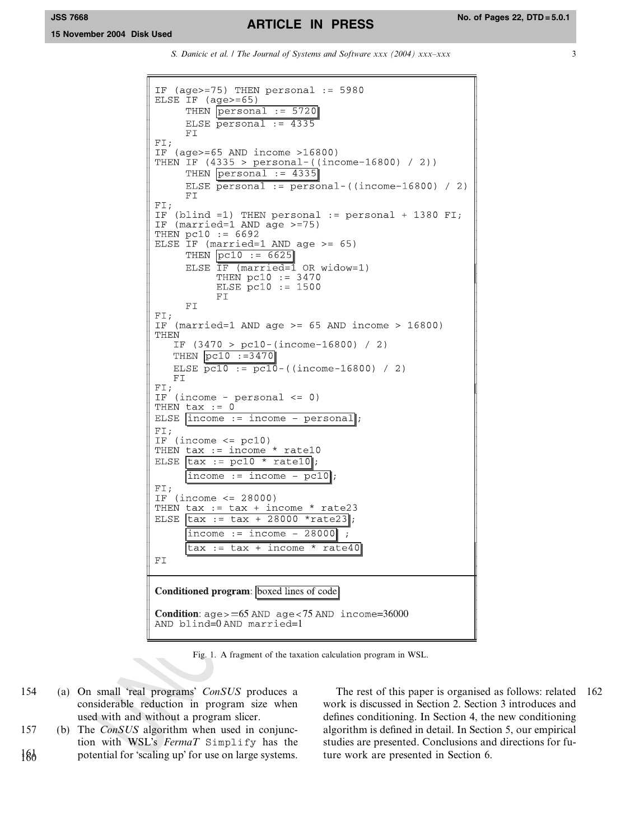## <span id="page-2-0"></span>JSS 7668 No. of Pages 22, DTD = 5.0.1 ARTICLE IN PRESS

S. Danicic et al. / The Journal of Systems and Software xxx (2004) xxx–xxx 3 3

 $(age \ge = 75)$  THEN personal := 5980 **TF** ELSE IF (age>=65) THEN personal  $: 5720$ ELSE personal  $:= 4335$ FT  $FI;$ THEN  $\frac{1}{2}$  and  $\frac{1}{2}$  and  $\frac{1}{2}$  and  $\frac{1}{2}$  and  $\frac{1}{2}$  and  $\frac{1}{2}$  and  $\frac{1}{2}$  and  $\frac{1}{2}$  and  $\frac{1}{2}$  and  $\frac{1}{2}$  and  $\frac{1}{2}$  and  $\frac{1}{2}$  and  $\frac{1}{2}$  and  $\frac{1}{2}$  and  $\frac{1}{2}$  and  $\frac{1}{$ 

Fig. 1. A fragment of the taxation calculation program in WSL.

- 154 (a) On small 'real programs' ConSUS produces a considerable reduction in program size when used with and without a program slicer.
- 157 (b) The ConSUS algorithm when used in conjunction with WSL's FermaT Simplify has the  $\frac{1}{60}$  potential for scaling up' for use on large systems.

The rest of this paper is organised as follows: related 162 work is discussed in Section 2. Section 3 introduces and defines conditioning. In Section 4, the new conditioning algorithm is defined in detail. In Section 5, our empirical studies are presented. Conclusions and directions for future work are presented in Section 6.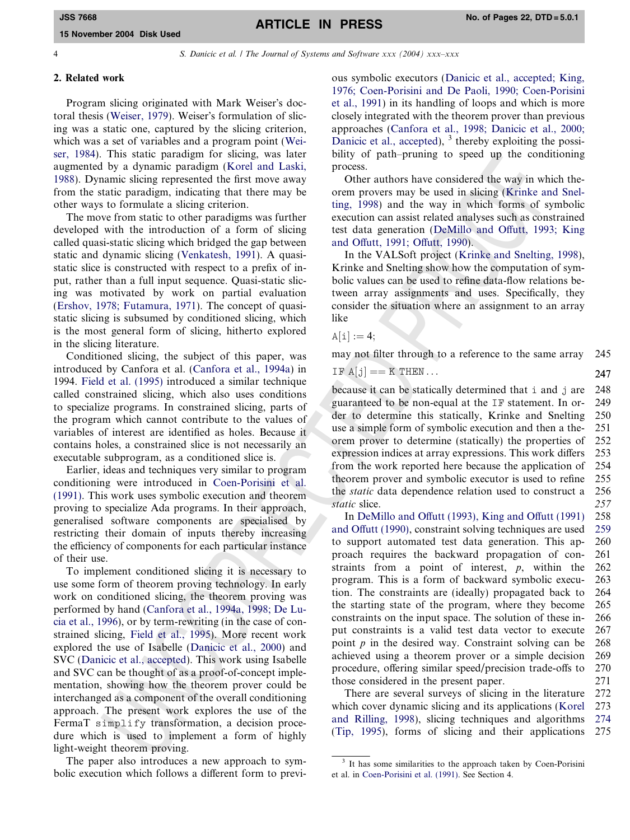#### 2. Related work

15 November 2004 Disk Used

Program slicing originated with Mark Weiser's doc-toral thesis [\(Weiser, 1979](#page-20-0)). Weiser's formulation of slicing was a static one, captured by the slicing criterion, which was a set of variables and a program point [\(Wei](#page-20-0)[ser, 1984](#page-20-0)). This static paradigm for slicing, was later augmented by a dynamic paradigm [\(Korel and Laski,](#page-20-0) [1988\)](#page-20-0). Dynamic slicing represented the first move away from the static paradigm, indicating that there may be other ways to formulate a slicing criterion.

The move from static to other paradigms was further developed with the introduction of a form of slicing called quasi-static slicing which bridged the gap between static and dynamic slicing [\(Venkatesh, 1991](#page-20-0)). A quasistatic slice is constructed with respect to a prefix of input, rather than a full input sequence. Quasi-static slicing was motivated by work on partial evaluation ([Ershov, 1978; Futamura, 1971\)](#page-20-0). The concept of quasistatic slicing is subsumed by conditioned slicing, which is the most general form of slicing, hitherto explored in the slicing literature.

Conditioned slicing, the subject of this paper, was introduced by Canfora et al. (Canfora et al., 1994a) in 1994. [Field et al. \(1995\)](#page-20-0) introduced a similar technique called constrained slicing, which also uses conditions to specialize programs. In constrained slicing, parts of the program which cannot contribute to the values of variables of interest are identified as holes. Because it contains holes, a constrained slice is not necessarily an executable subprogram, as a conditioned slice is.

Earlier, ideas and techniques very similar to program conditioning were introduced in Coen-Porisini et al. [\(1991\)](#page-19-0). This work uses symbolic execution and theorem proving to specialize Ada programs. In their approach, generalised software components are specialised by restricting their domain of inputs thereby increasing the efficiency of components for each particular instance of their use.

To implement conditioned slicing it is necessary to use some form of theorem proving technology. In early work on conditioned slicing, the theorem proving was performed by hand (Canfora et al., 1994a, 1998; De Lu[cia et al., 1996](#page-19-0)), or by term-rewriting (in the case of constrained slicing, Field et al., 1995). More recent work explored the use of Isabelle (Danicic et al., 2000) and SVC ([Danicic et al., accepted](#page-19-0)). This work using Isabelle and SVC can be thought of as a proof-of-concept implementation, showing how the theorem prover could be interchanged as a component of the overall conditioning approach. The present work explores the use of the FermaT simplify transformation, a decision procedure which is used to implement a form of highly light-weight theorem proving.

The paper also introduces a new approach to symbolic execution which follows a different form to previous symbolic executors ([Danicic et al., accepted; King,](#page-19-0) [1976; Coen-Porisini and De Paoli, 1990; Coen-Porisini](#page-19-0) [et al., 1991](#page-19-0)) in its handling of loops and which is more closely integrated with the theorem prover than previous approaches [\(Canfora et al., 1998; Danicic et al., 2000;](#page-19-0) [Danicic et al., accepted](#page-19-0)),  $3$  thereby exploiting the possibility of path–pruning to speed up the conditioning process.

Other authors have considered the way in which theorem provers may be used in slicing [\(Krinke and Snel](#page-20-0)[ting, 1998\)](#page-20-0) and the way in which forms of symbolic execution can assist related analyses such as constrained test data generation ([DeMillo and Offutt, 1993; King](#page-20-0) [and Offutt, 1991; Offutt, 1990\)](#page-20-0).

In the VALSoft project [\(Krinke and Snelting, 1998\)](#page-20-0), Krinke and Snelting show how the computation of symbolic values can be used to refine data-flow relations between array assignments and uses. Specifically, they consider the situation where an assignment to an array like

$$
A[i]:=4;
$$

may not filter through to a reference to the same array 245

IF 
$$
A[j] == K
$$
 THEN ...  $247$ 

because it can be statically determined that i and j are 248 guaranteed to be non-equal at the IF statement. In or- 249 der to determine this statically, Krinke and Snelting 250 use a simple form of symbolic execution and then a the- 251 orem prover to determine (statically) the properties of 252 expression indices at array expressions. This work differs 253 from the work reported here because the application of 254 theorem prover and symbolic executor is used to refine 255 the static data dependence relation used to construct a 256 static slice. 257

This state paradog in the state of the mail of the particular state paradog in the continue of the state paradog in the continue of the state paradog in the continue of the state paradog in the state paradog represents th In [DeMillo and Offutt \(1993\), King and Offutt \(1991\)](#page-20-0) 258 and Offutt (1990), constraint solving techniques are used 259 to support automated test data generation. This ap- 260 proach requires the backward propagation of con- 261 straints from a point of interest,  $p$ , within the 262 program. This is a form of backward symbolic execu- 263 tion. The constraints are (ideally) propagated back to 264 the starting state of the program, where they become 265 constraints on the input space. The solution of these in- 266 put constraints is a valid test data vector to execute 267 point  $p$  in the desired way. Constraint solving can be 268 achieved using a theorem prover or a simple decision 269 procedure, offering similar speed/precision trade-offs to 270 those considered in the present paper. 271

There are several surveys of slicing in the literature 272 which cover dynamic slicing and its applications [\(Korel](#page-20-0) 273) and Rilling, 1998), slicing techniques and algorithms 274 (Tip, 1995), forms of slicing and their applications 275

<sup>&</sup>lt;sup>3</sup> It has some similarities to the approach taken by Coen-Porisini et al. in [Coen-Porisini et al. \(1991\).](#page-19-0) See Section 4.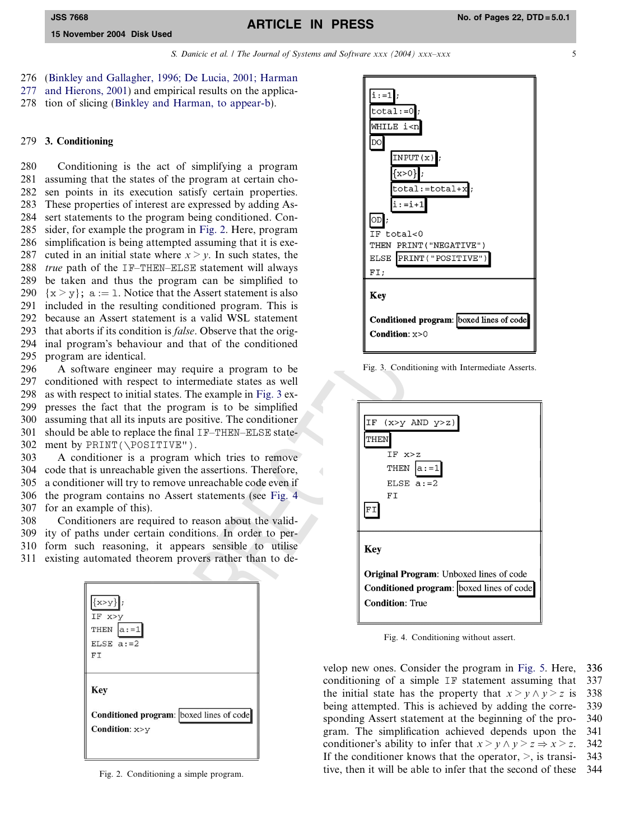S. Danicic et al. / The Journal of Systems and Software xxx (2004) xxx–xxx 5

<span id="page-4-0"></span>276 ([Binkley and Gallagher, 1996; De Lucia, 2001; Harman](#page-19-0) 277 [and Hierons, 2001\)](#page-19-0) and empirical results on the applica-

278 tion of slicing ([Binkley and Harman, to appear-b\)](#page-19-0).

#### 279 3. Conditioning

280 Conditioning is the act of simplifying a program 281 assuming that the states of the program at certain cho-282 sen points in its execution satisfy certain properties. 283 These properties of interest are expressed by adding As-284 sert statements to the program being conditioned. Con-285 sider, for example the program in Fig. 2. Here, program 286 simplification is being attempted assuming that it is exe-287 cuted in an initial state where  $x > y$ . In such states, the 288 true path of the IF–THEN–ELSE statement will always 289 be taken and thus the program can be simplified to 290  $\{x > y\}$ ; a := 1. Notice that the Assert statement is also 291 included in the resulting conditioned program. This is 292 because an Assert statement is a valid WSL statement 293 that aborts if its condition is false. Observe that the orig-294 inal program's behaviour and that of the conditioned 295 program are identical.

296 A software engineer may require a program to be 297 conditioned with respect to intermediate states as well 298 as with respect to initial states. The example in Fig. 3 ex-299 presses the fact that the program is to be simplified 300 assuming that all its inputs are positive. The conditioner 301 should be able to replace the final IF–THEN–ELSE state-302 ment by PRINT(\POSITIVE").

303 A conditioner is a program which tries to remove 304 code that is unreachable given the assertions. Therefore, 305 a conditioner will try to remove unreachable code even if 306 the program contains no Assert statements (see Fig. 4 307 for an example of this).

308 Conditioners are required to reason about the valid-309 ity of paths under certain conditions. In order to per-310 form such reasoning, it appears sensible to utilise 311 existing automated theorem provers rather than to de-





Fig. 3. Conditioning with Intermediate Asserts.



Fig. 4. Conditioning without assert.

velop new ones. Consider the program in [Fig. 5.](#page-5-0) Here, 336 conditioning of a simple IF statement assuming that 337 the initial state has the property that  $x > v \wedge v > z$  is 338 being attempted. This is achieved by adding the corre- 339 sponding Assert statement at the beginning of the pro- 340 gram. The simplification achieved depends upon the 341 conditioner's ability to infer that  $x > y \land y > z \Rightarrow x > z$ . 342 If the conditioner knows that the operator,  $>$ , is transi- 343 Fig. 2. Conditioning a simple program. tive, then it will be able to infer that the second of these 344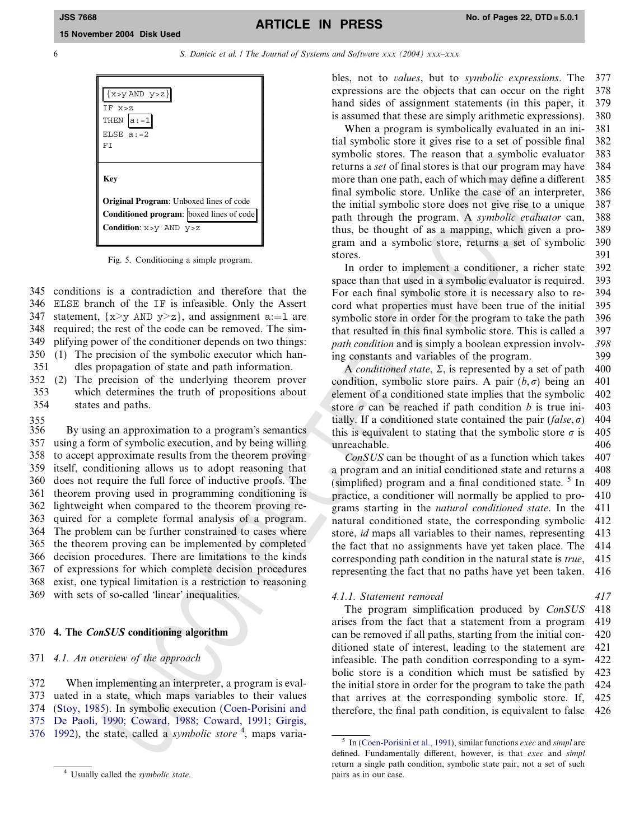<span id="page-5-0"></span>

6 S. Danicic et al. / The Journal of Systems and Software xxx (2004) xxx–xxx

| $\{x>y \text{ AND } y>z\}$<br>$IF$ $x > z$<br>THEN<br>$ a:=1 $<br>$ELSE a:=2$<br>FT                                             |
|---------------------------------------------------------------------------------------------------------------------------------|
| Key                                                                                                                             |
| <b>Original Program:</b> Unboxed lines of code<br>Conditioned program: boxed lines of code<br><b>Condition:</b> $x>y$ AND $y>z$ |

Fig. 5. Conditioning a simple program.

345 conditions is a contradiction and therefore that the 346 ELSE branch of the IF is infeasible. Only the Assert 347 statement,  $\{x > y \text{ AND } y > z\}$ , and assignment a: 348 required; the rest of the code can be removed. The sim-349 plifying power of the conditioner depends on two things: 350 (1) The precision of the symbolic executor which han-351 dles propagation of state and path information. 352 (2) The precision of the underlying theorem prover 353 which determines the truth of propositions about

354 states and paths.

For exception of the space of the continue and proposed into a symbolic stock and proposed into the space of the continue and proposed into the space of the continue and  $\sigma$  (continue and  $\sigma$ ) and  $\sigma$  (continue and  $\sigma$ 355 356 By using an approximation to a program's semantics 357 using a form of symbolic execution, and by being willing 358 to accept approximate results from the theorem proving 359 itself, conditioning allows us to adopt reasoning that 360 does not require the full force of inductive proofs. The 361 theorem proving used in programming conditioning is 362 lightweight when compared to the theorem proving re-363 quired for a complete formal analysis of a program. 364 The problem can be further constrained to cases where 365 the theorem proving can be implemented by completed 366 decision procedures. There are limitations to the kinds 367 of expressions for which complete decision procedures 368 exist, one typical limitation is a restriction to reasoning 369 with sets of so-called 'linear' inequalities.

#### 370 4. The ConSUS conditioning algorithm

#### 371 4.1. An overview of the approach

372 When implementing an interpreter, a program is eval-373 uated in a state, which maps variables to their values 374 ([Stoy, 1985\)](#page-20-0). In symbolic execution (Coen-Porisini and 375 [De Paoli, 1990; Coward, 1988; Coward, 1991; Girgis,](#page-19-0) 376 [1992\)](#page-19-0), the state, called a *symbolic store*<sup>4</sup>, maps variables, not to values, but to symbolic expressions. The 377 expressions are the objects that can occur on the right 378 hand sides of assignment statements (in this paper, it 379 is assumed that these are simply arithmetic expressions). 380

When a program is symbolically evaluated in an ini- 381 tial symbolic store it gives rise to a set of possible final 382 symbolic stores. The reason that a symbolic evaluator 383 returns a set of final stores is that our program may have 384 more than one path, each of which may define a different 385 final symbolic store. Unlike the case of an interpreter, 386 the initial symbolic store does not give rise to a unique 387 path through the program. A symbolic evaluator can, 388 thus, be thought of as a mapping, which given a pro- 389 gram and a symbolic store, returns a set of symbolic 390 stores. 391

In order to implement a conditioner, a richer state 392 space than that used in a symbolic evaluator is required. 393 For each final symbolic store it is necessary also to re- 394 cord what properties must have been true of the initial 395 symbolic store in order for the program to take the path 396 that resulted in this final symbolic store. This is called a 397 path condition and is simply a boolean expression involv- 398 ing constants and variables of the program. 399

A conditioned state,  $\Sigma$ , is represented by a set of path 400 condition, symbolic store pairs. A pair  $(b, \sigma)$  being an 401 element of a conditioned state implies that the symbolic 402 store  $\sigma$  can be reached if path condition b is true ini- 403 tially. If a conditioned state contained the pair  $(false, \sigma)$  404 this is equivalent to stating that the symbolic store  $\sigma$  is 405 unreachable. 406

ConSUS can be thought of as a function which takes 407 a program and an initial conditioned state and returns a 408 (simplified) program and a final conditioned state.  $5 \text{ In } 409$ practice, a conditioner will normally be applied to pro- 410 grams starting in the natural conditioned state. In the 411 natural conditioned state, the corresponding symbolic 412 store, *id* maps all variables to their names, representing 413 the fact that no assignments have yet taken place. The 414 corresponding path condition in the natural state is *true*, 415 representing the fact that no paths have yet been taken. 416

#### 4.1.1. Statement removal 417

The program simplification produced by *ConSUS* 418 arises from the fact that a statement from a program 419 can be removed if all paths, starting from the initial con- 420 ditioned state of interest, leading to the statement are 421 infeasible. The path condition corresponding to a sym- 422 bolic store is a condition which must be satisfied by 423 the initial store in order for the program to take the path 424 that arrives at the corresponding symbolic store. If, 425 therefore, the final path condition, is equivalent to false 426

<sup>4</sup> Usually called the symbolic state.

 $5 \text{ In (Coen-Porisini et al., 1991), similar functions } e \times ee$  $5 \text{ In (Coen-Porisini et al., 1991), similar functions } e \times ee$  $5 \text{ In (Coen-Porisini et al., 1991), similar functions } e \times ee$  and simpl are defined. Fundamentally different, however, is that exec and simpl return a single path condition, symbolic state pair, not a set of such pairs as in our case.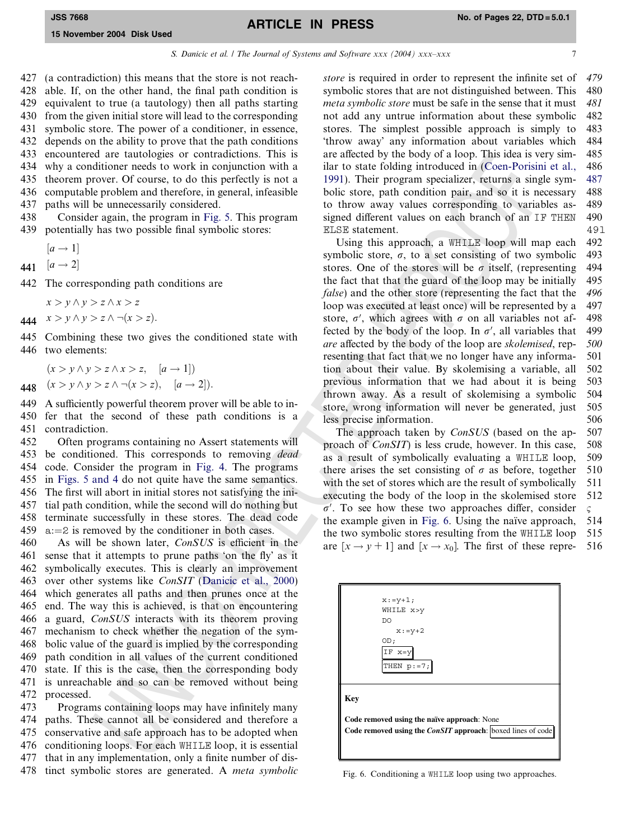S. Danicic et al. / The Journal of Systems and Software xxx (2004) xxx–xxx 7

427 (a contradiction) this means that the store is not reach-428 able. If, on the other hand, the final path condition is 429 equivalent to true (a tautology) then all paths starting 430 from the given initial store will lead to the corresponding 431 symbolic store. The power of a conditioner, in essence, 432 depends on the ability to prove that the path conditions 433 encountered are tautologies or contradictions. This is 434 why a conditioner needs to work in conjunction with a 435 theorem prover. Of course, to do this perfectly is not a 436 computable problem and therefore, in general, infeasible 437 paths will be unnecessarily considered.

438 Consider again, the program in [Fig. 5](#page-5-0). This program 439 potentially has two possible final symbolic stores:

$$
[a \rightarrow 1]
$$

$$
441 \quad [a \rightarrow 2]
$$

442 The corresponding path conditions are

 $x > y \wedge y > z \wedge x > z$ 

444  $x > y \wedge y > z \wedge \neg(x > z)$ .

445 Combining these two gives the conditioned state with 446 two elements:

 $(x > y \land y > z \land x > z, \quad [a \rightarrow 1])$ 448  $(x > y \land y > z \land \neg(x > z), \quad [a \rightarrow 2]).$ 

449 A sufficiently powerful theorem prover will be able to in-450 fer that the second of these path conditions is a 451 contradiction.

452 Often programs containing no Assert statements will 453 be conditioned. This corresponds to removing dead 454 code. Consider the program in Fig. 4. The programs 455 in [Figs. 5 and 4](#page-5-0) do not quite have the same semantics. 456 The first will abort in initial stores not satisfying the ini-457 tial path condition, while the second will do nothing but 458 terminate successfully in these stores. The dead code 459  $a:=2$  is removed by the conditioner in both cases.

460 As will be shown later, ConSUS is efficient in the 461 sense that it attempts to prune paths 'on the fly' as it 462 symbolically executes. This is clearly an improvement 463 over other systems like ConSIT (Danicic et al., 2000) 464 which generates all paths and then prunes once at the 465 end. The way this is achieved, is that on encountering 466 a guard, ConSUS interacts with its theorem proving 467 mechanism to check whether the negation of the sym-468 bolic value of the guard is implied by the corresponding 469 path condition in all values of the current conditioned 470 state. If this is the case, then the corresponding body 471 is unreachable and so can be removed without being 472 processed.

473 Programs containing loops may have infinitely many 474 paths. These cannot all be considered and therefore a 475 conservative and safe approach has to be adopted when 476 conditioning loops. For each WHILE loop, it is essential 477 that in any implementation, only a finite number of dis-478 tinct symbolic stores are generated. A meta symbolic store is required in order to represent the infinite set of 479 symbolic stores that are not distinguished between. This 480 meta symbolic store must be safe in the sense that it must 481 not add any untrue information about these symbolic 482 stores. The simplest possible approach is simply to 483 'throw away' any information about variables which 484 are affected by the body of a loop. This idea is very sim- 485 ilar to state folding introduced in ([Coen-Porisini et al.,](#page-19-0) 486 [1991](#page-19-0)). Their program specializer, returns a single sym- 487 bolic store, path condition pair, and so it is necessary 488 to throw away values corresponding to variables as- 489 signed different values on each branch of an IF THEN 490 ELSE statement. 491

at anticologies or contracted by the proposition of the controlled by the controlled by the controlled by the controlled by the controlled by the proposition of the proposition of the proposition of the proposition of the Using this approach, a WHILE loop will map each 492 symbolic store,  $\sigma$ , to a set consisting of two symbolic 493 stores. One of the stores will be  $\sigma$  itself, (representing 494 the fact that that the guard of the loop may be initially 495 false) and the other store (representing the fact that the 496 loop was executed at least once) will be represented by a 497 store,  $\sigma'$ , which agrees with  $\sigma$  on all variables not af- 498 fected by the body of the loop. In  $\sigma'$ , all variables that 499 are affected by the body of the loop are skolemised, rep- 500 resenting that fact that we no longer have any informa- 501 tion about their value. By skolemising a variable, all 502 previous information that we had about it is being 503 thrown away. As a result of skolemising a symbolic 504 store, wrong information will never be generated, just 505 less precise information. 506

The approach taken by *ConSUS* (based on the ap- 507 proach of ConSIT) is less crude, however. In this case, 508 as a result of symbolically evaluating a WHILE loop, 509 there arises the set consisting of  $\sigma$  as before, together 510 with the set of stores which are the result of symbolically 511 executing the body of the loop in the skolemised store 512  $\sigma'$ . To see how these two approaches differ, consider  $\varsigma$ the example given in Fig.  $6$ . Using the naïve approach, 514 the two symbolic stores resulting from the WHILE loop 515 are  $[x \rightarrow y + 1]$  and  $[x \rightarrow x_0]$ . The first of these repre- 516

| $x := y + 1;$<br>WHILE x>y<br>DO<br>$x:=y+2$<br>OD;<br>$IF$ $x=y$<br>THEN $p:=7;$ |  |
|-----------------------------------------------------------------------------------|--|
| Key<br>Code removed using the naïve approach: None                                |  |
| Code removed using the <i>ConSIT</i> approach: boxed lines of code                |  |

Fig. 6. Conditioning a WHILE loop using two approaches.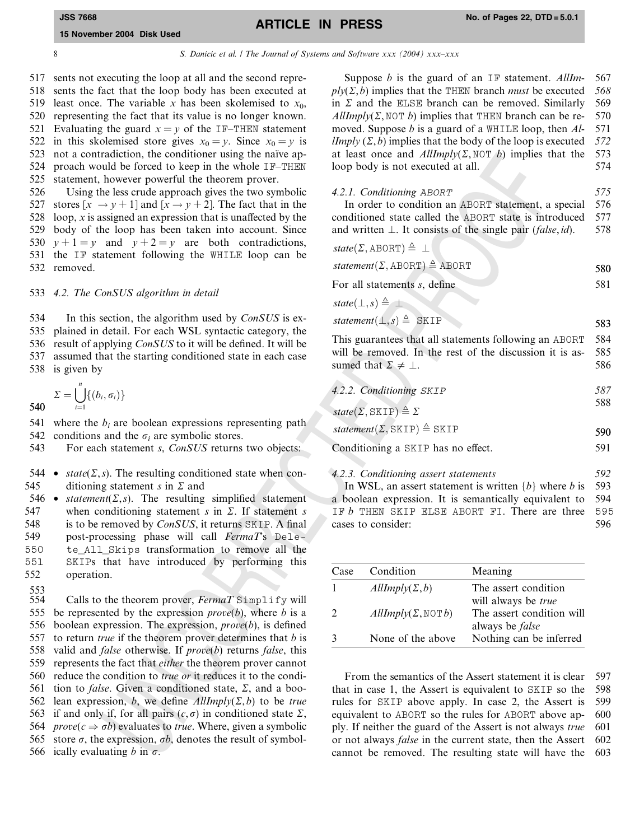8 S. Danicic et al. / The Journal of Systems and Software xxx (2004) xxx-xxx

517 sents not executing the loop at all and the second repre-518 sents the fact that the loop body has been executed at 519 least once. The variable x has been skolemised to  $x_0$ , 520 representing the fact that its value is no longer known. 521 Evaluating the guard  $x = v$  of the IF–THEN statement 522 in this skolemised store gives  $x_0 = y$ . Since  $x_0 = y$  is 523 not a contradiction, the conditioner using the naïve ap-524 proach would be forced to keep in the whole IF–THEN 525 statement, however powerful the theorem prover.

526 Using the less crude approach gives the two symbolic 527 stores  $[x \rightarrow y + 1]$  and  $[x \rightarrow y + 2]$ . The fact that in the 528 loop, x is assigned an expression that is unaffected by the 529 body of the loop has been taken into account. Since 530  $y + 1 = y$  and  $y + 2 = y$  are both contradictions, 531 the IF statement following the WHILE loop can be 532 removed.

#### 533 4.2. The ConSUS algorithm in detail

534 In this section, the algorithm used by *ConSUS* is ex-535 plained in detail. For each WSL syntactic category, the 536 result of applying ConSUS to it will be defined. It will be 537 assumed that the starting conditioned state in each case 538 is given by

$$
\Sigma = \bigcup_{i=1}^n \{ (b_i, \sigma_i) \}
$$

541 where the  $b_i$  are boolean expressions representing path 542 conditions and the  $\sigma_i$  are symbolic stores.

543 For each statement s, ConSUS returns two objects:

|     | 544 • <i>state</i> ( $\Sigma$ , <i>s</i> ). The resulting conditioned state when con- |
|-----|---------------------------------------------------------------------------------------|
| 545 | ditioning statement s in $\Sigma$ and                                                 |

546 • *statement*( $\Sigma$ , s). The resulting simplified statement 547 when conditioning statement s in  $\Sigma$ . If statement s 548 is to be removed by *ConSUS*, it returns SKIP. A final 549 post-processing phase will call FermaTs Dele-550 te\_All\_Skips transformation to remove all the 551 SKIPs that have introduced by performing this 552 operation.

```
553
```
540

Calls to the theorem prover,  $FermaT$  Simplify will 555 be represented by the expression  $prove(b)$ , where b is a 556 boolean expression. The expression,  $prove(b)$ , is defined 557 to return *true* if the theorem prover determines that  $b$  is 558 valid and *false* otherwise. If *prove*(b) returns *false*, this 559 represents the fact that either the theorem prover cannot 560 reduce the condition to true or it reduces it to the condi-561 tion to *false*. Given a conditioned state,  $\Sigma$ , and a boo-562 lean expression, b, we define  $\text{AllImpl}_V(\Sigma,b)$  to be true 563 if and only if, for all pairs  $(c,\sigma)$  in conditioned state  $\Sigma$ , 564 *prove*( $c \Rightarrow \sigma b$ ) evaluates to *true*. Where, given a symbolic 565 store  $\sigma$ , the expression,  $\sigma b$ , denotes the result of symbol-566 ically evaluating b in  $\sigma$ .

Suppose  $b$  is the guard of an IF statement. AllIm- 567  $p\, \textit{l} \, \textit{v}(\Sigma, b)$  implies that the THEN branch *must* be executed 568 in  $\Sigma$  and the ELSE branch can be removed. Similarly 569 AllImply( $\Sigma$ , NOT b) implies that THEN branch can be re- 570 moved. Suppose b is a guard of a WHILE loop, then  $Al-571$ *lImply*  $(\Sigma, b)$  implies that the body of the loop is executed 572 at least once and  $\text{AllImply}(\Sigma,\text{NOT} \; b)$  implies that the 573 loop body is not executed at all. 574

### 4.2.1. Conditioning ABORT 575

| radiction, the conditioner using the naive ap-<br>uld be forced to keep in the whole IF-THEN                                                                                                                                                                                                                                                                                                                                                                     |                                                                                                                                                       | at least once and $\text{Al}(\text{Im}(\mu) \mathcal{L}, \text{NOT})$ implies that the<br>loop body is not executed at all.                                                                                                                                                                                                                                                                                                 |                                                                                                                                                                    |                                 |  |
|------------------------------------------------------------------------------------------------------------------------------------------------------------------------------------------------------------------------------------------------------------------------------------------------------------------------------------------------------------------------------------------------------------------------------------------------------------------|-------------------------------------------------------------------------------------------------------------------------------------------------------|-----------------------------------------------------------------------------------------------------------------------------------------------------------------------------------------------------------------------------------------------------------------------------------------------------------------------------------------------------------------------------------------------------------------------------|--------------------------------------------------------------------------------------------------------------------------------------------------------------------|---------------------------------|--|
| however powerful the theorem prover.<br>he less crude approach gives the two symbolic<br>$\rightarrow$ y + 1] and [x $\rightarrow$ y + 2]. The fact that in the<br>issigned an expression that is unaffected by the<br>he loop has been taken into account. Since                                                                                                                                                                                                |                                                                                                                                                       | 4.2.1. Conditioning ABORT<br>In order to condition an ABORT statement, a special<br>conditioned state called the ABORT state is introduced<br>and written $\perp$ . It consists of the single pair ( <i>false, id</i> ).                                                                                                                                                                                                    |                                                                                                                                                                    |                                 |  |
| and $y + 2 = y$ are both contradictions,<br>atement following the WHILE loop can be                                                                                                                                                                                                                                                                                                                                                                              |                                                                                                                                                       | $state(\Sigma, ABORT) \triangleq \bot$                                                                                                                                                                                                                                                                                                                                                                                      |                                                                                                                                                                    |                                 |  |
|                                                                                                                                                                                                                                                                                                                                                                                                                                                                  |                                                                                                                                                       | statement( $\Sigma$ , ABORT) $\triangleq$ ABORT                                                                                                                                                                                                                                                                                                                                                                             |                                                                                                                                                                    | 580                             |  |
| onSUS algorithm in detail                                                                                                                                                                                                                                                                                                                                                                                                                                        |                                                                                                                                                       | For all statements s, define                                                                                                                                                                                                                                                                                                                                                                                                |                                                                                                                                                                    | 581                             |  |
|                                                                                                                                                                                                                                                                                                                                                                                                                                                                  |                                                                                                                                                       | $state(\perp, s) \triangleq \perp$                                                                                                                                                                                                                                                                                                                                                                                          |                                                                                                                                                                    |                                 |  |
| section, the algorithm used by <i>ConSUS</i> is ex-                                                                                                                                                                                                                                                                                                                                                                                                              | statement $(\perp, s) \triangleq$ SKIP                                                                                                                |                                                                                                                                                                                                                                                                                                                                                                                                                             |                                                                                                                                                                    | 583                             |  |
| detail. For each WSL syntactic category, the<br>pplying ConSUS to it will be defined. It will be<br>nat the starting conditioned state in each case                                                                                                                                                                                                                                                                                                              | This guarantees that all statements following an ABORT<br>will be removed. In the rest of the discussion it is as-<br>sumed that $\Sigma \neq \bot$ . |                                                                                                                                                                                                                                                                                                                                                                                                                             |                                                                                                                                                                    | 584<br>585<br>586               |  |
|                                                                                                                                                                                                                                                                                                                                                                                                                                                                  |                                                                                                                                                       | 4.2.2. Conditioning SKIP                                                                                                                                                                                                                                                                                                                                                                                                    |                                                                                                                                                                    | 587                             |  |
| $_{i},\sigma_{i})\}$                                                                                                                                                                                                                                                                                                                                                                                                                                             |                                                                                                                                                       |                                                                                                                                                                                                                                                                                                                                                                                                                             |                                                                                                                                                                    |                                 |  |
| $b_i$ are boolean expressions representing path                                                                                                                                                                                                                                                                                                                                                                                                                  | $state(\Sigma, \text{SKIP}) \triangleq \Sigma$                                                                                                        |                                                                                                                                                                                                                                                                                                                                                                                                                             |                                                                                                                                                                    |                                 |  |
| and the $\sigma_i$ are symbolic stores.                                                                                                                                                                                                                                                                                                                                                                                                                          | statement( $\Sigma$ , SKIP) $\triangleq$ SKIP                                                                                                         |                                                                                                                                                                                                                                                                                                                                                                                                                             |                                                                                                                                                                    | 590                             |  |
| h statement s, ConSUS returns two objects:                                                                                                                                                                                                                                                                                                                                                                                                                       | Conditioning a SKIP has no effect.                                                                                                                    |                                                                                                                                                                                                                                                                                                                                                                                                                             |                                                                                                                                                                    | 591                             |  |
| s). The resulting conditioned state when con-<br>g statement s in $\Sigma$ and<br>$int(\Sigma, s)$ . The resulting simplified statement<br>onditioning statement $s$ in $\Sigma$ . If statement $s$<br>removed by <i>ConSUS</i> , it returns SKIP. A final<br>becomes phase will call $FermaT$ s Dele-<br>Skips transformation to remove all the                                                                                                                 |                                                                                                                                                       | 4.2.3. Conditioning assert statements<br>cases to consider:                                                                                                                                                                                                                                                                                                                                                                 | In WSL, an assert statement is written ${b}$ where b is<br>a boolean expression. It is semantically equivalent to<br>IF b THEN SKIP ELSE ABORT FI. There are three | 592<br>593<br>594<br>595<br>596 |  |
| that have introduced by performing this                                                                                                                                                                                                                                                                                                                                                                                                                          | Case                                                                                                                                                  | Condition                                                                                                                                                                                                                                                                                                                                                                                                                   | Meaning                                                                                                                                                            |                                 |  |
| m.                                                                                                                                                                                                                                                                                                                                                                                                                                                               | 1                                                                                                                                                     | $\text{AllImply}(\Sigma, b)$                                                                                                                                                                                                                                                                                                                                                                                                | The assert condition                                                                                                                                               |                                 |  |
| the theorem prover, FermaT Simplify will                                                                                                                                                                                                                                                                                                                                                                                                                         |                                                                                                                                                       |                                                                                                                                                                                                                                                                                                                                                                                                                             | will always be true                                                                                                                                                |                                 |  |
| nted by the expression $prove(b)$ , where b is a<br>appression. The expression, $prove(b)$ , is defined                                                                                                                                                                                                                                                                                                                                                          | $\overline{2}$                                                                                                                                        | $AllImply(\Sigma, \text{NOT } b)$                                                                                                                                                                                                                                                                                                                                                                                           | The assert condition will<br>always be <i>false</i>                                                                                                                |                                 |  |
| <i>rue</i> if the theorem prover determines that <i>b</i> is<br>false otherwise. If prove(b) returns false, this                                                                                                                                                                                                                                                                                                                                                 | 3                                                                                                                                                     | None of the above                                                                                                                                                                                                                                                                                                                                                                                                           | Nothing can be inferred                                                                                                                                            |                                 |  |
| the fact that <i>either</i> the theorem prover cannot<br>condition to <i>true or</i> it reduces it to the condi-<br>se. Given a conditioned state, $\Sigma$ , and a boo-<br>ssion, b, we define AllImply( $\Sigma$ , b) to be true<br>y if, for all pairs $(c, \sigma)$ in conditioned state $\Sigma$ ,<br>$\sigma b$ ) evaluates to <i>true</i> . Where, given a symbolic<br>e expression, $\sigma b$ , denotes the result of symbol-<br>uating b in $\sigma$ . |                                                                                                                                                       | From the semantics of the Assert statement it is clear<br>that in case 1, the Assert is equivalent to SKIP so the<br>rules for SKIP above apply. In case 2, the Assert is<br>equivalent to ABORT so the rules for ABORT above ap-<br>ply. If neither the guard of the Assert is not always true<br>or not always <i>false</i> in the current state, then the Assert<br>cannot be removed. The resulting state will have the |                                                                                                                                                                    |                                 |  |

| 4.2.2. Conditioning SKIP                       | 587. |
|------------------------------------------------|------|
| $state(\Sigma, \text{SKIP}) \triangleq \Sigma$ | 588  |
|                                                |      |

| Case | Condition                                | Meaning                    |
|------|------------------------------------------|----------------------------|
|      | $\text{AllImply}(\Sigma, b)$             | The assert condition       |
|      |                                          | will always be <i>true</i> |
|      | $\text{AllImply}(\Sigma, \text{NOT } b)$ | The assert condition will  |
|      |                                          | always be <i>false</i>     |
|      | None of the above                        | Nothing can be inferred    |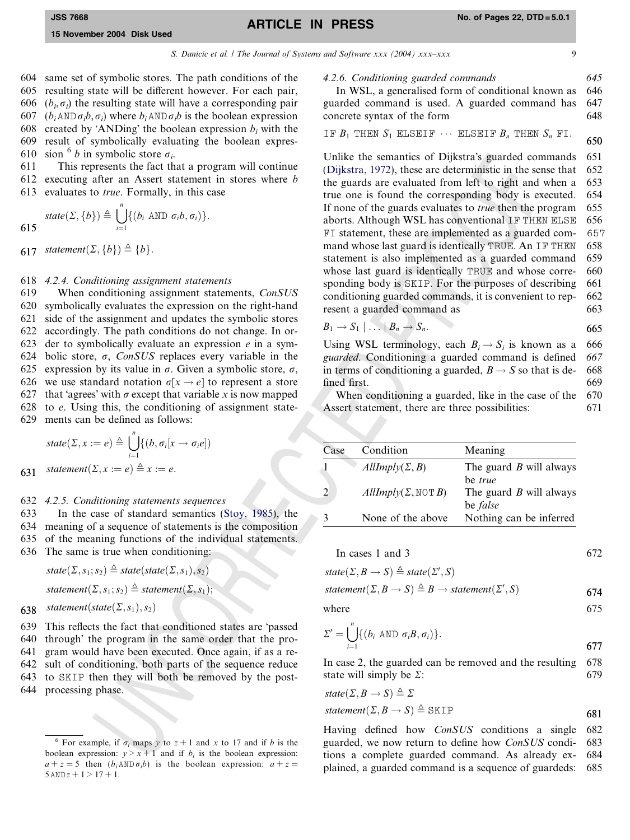604 same set of symbolic stores. The path conditions of the 605 resulting state will be different however. For each pair, 606 ( $b_i$ ,  $\sigma_i$ ) the resulting state will have a corresponding pair 607 (b<sub>i</sub>AND $\sigma_i b, \sigma_i$ ) where  $b_i$ AND $\sigma_i b$  is the boolean expression 608 created by 'ANDing' the boolean expression  $b_i$  with the 609 result of symbolically evaluating the boolean expres-610 sion  $6 b$  in symbolic store  $\sigma_i$ .

611 This represents the fact that a program will continue 612 executing after an Assert statement in stores where b 613 evaluates to true. Formally, in this case

state $(\Sigma, \{b\}) \triangleq {\binom{n}{}}$  $i=1$  $\{(b_i \text{ AND } \sigma_i b, \sigma_i)\}.$ 

15 November 2004 Disk Used

615

617 statement $(\Sigma, \{b\}) \triangleq \{b\}.$ 

#### 618 4.2.4. Conditioning assignment statements

619 When conditioning assignment statements, ConSUS 620 symbolically evaluates the expression on the right-hand 621 side of the assignment and updates the symbolic stores 622 accordingly. The path conditions do not change. In or-623 der to symbolically evaluate an expression  $e$  in a sym-624 bolic store,  $\sigma$ , ConSUS replaces every variable in the 625 expression by its value in  $\sigma$ . Given a symbolic store,  $\sigma$ , 626 we use standard notation  $\sigma[x \rightarrow e]$  to represent a store 627 that 'agrees' with  $\sigma$  except that variable x is now mapped 628 to e. Using this, the conditioning of assignment state-629 ments can be defined as follows:

$$
state(\Sigma, x := e) \triangleq \bigcup_{i=1}^{n} \{ (b, \sigma_i[x \to \sigma_i e])
$$
  
631 statement( $\Sigma, x := e$ )  $\triangleq x := e$ .

#### 632 4.2.5. Conditioning statements sequences

633 In the case of standard semantics (Stoy, 1985), the 634 meaning of a sequence of statements is the composition 635 of the meaning functions of the individual statements. 636 The same is true when conditioning:

 $state(\Sigma,s_1;s_2) \triangleq state(state(\Sigma,s_1),s_2)$ 

statement $(\Sigma, s_1; s_2) \triangleq statement(\Sigma, s_1);$ 

638 statement(state $(\Sigma,s_1),s_2)$ 

639 This reflects the fact that conditioned states are 'passed 640 through' the program in the same order that the pro-641 gram would have been executed. Once again, if as a re-642 sult of conditioning, both parts of the sequence reduce 643 to SKIP then they will both be removed by the post-644 processing phase.

| 4.2.6. Conditioning guarded commands |  |  | 645 |
|--------------------------------------|--|--|-----|
| $T = T T T T T$                      |  |  |     |

In WSL, a generalised form of conditional known as 646 guarded command is used. A guarded command has 647 concrete syntax of the form 648

IF  $B_1$  THEN  $S_1$  ELSEIF  $\cdots$  ELSEIF  $B_n$  THEN  $S_n$  FI. 650

symbols are contained to the same of the small in the small in the small in the small in the small in the small in the small in the small in the small in the small in the small in the small in the small in the small in th Unlike the semantics of Dijkstra's guarded commands 651 ([Dijkstra, 1972](#page-20-0)), these are deterministic in the sense that 652 the guards are evaluated from left to right and when a 653 true one is found the corresponding body is executed. 654 If none of the guards evaluates to true then the program 655 aborts. Although WSL has conventional IF THEN ELSE 656 FI statement, these are implemented as a guarded com- 657 mand whose last guard is identically TRUE. An IF THEN 658 statement is also implemented as a guarded command 659 whose last guard is identically TRUE and whose corre- 660 sponding body is SKIP. For the purposes of describing 661 conditioning guarded commands, it is convenient to rep- 662 resent a guarded command as 663

$$
B_1 \to S_1 \mid \ldots \mid B_n \to S_n. \tag{665}
$$

Using WSL terminology, each  $B_i \rightarrow S_i$  is known as a 666 guarded. Conditioning a guarded command is defined 667 in terms of conditioning a guarded,  $B \rightarrow S$  so that is de- 668 fined first. 669

When conditioning a guarded, like in the case of the 670 Assert statement, there are three possibilities: 671

| Condition                               | Meaning                   |
|-----------------------------------------|---------------------------|
| $AllImply(\Sigma, B)$                   | The guard $B$ will always |
|                                         | be <i>true</i>            |
| $\text{Allmply}(\Sigma, \text{NOT } B)$ | The guard $B$ will always |
|                                         | be <i>false</i>           |
| None of the above                       | Nothing can be inferred   |
|                                         |                           |

| In cases 1 and 3 | 672 |
|------------------|-----|
|                  |     |

state(
$$
\Sigma, B \to S
$$
)  $\triangleq$  state( $\Sigma', S$ )  
statement( $\Sigma, B \to S$ )  $\triangleq B \to$  statement( $\Sigma', S$ )  
where  
675

$$
\Sigma' = \bigcup_{i=1}^{n} \{ (b_i \text{ AND } \sigma_i B, \sigma_i) \}.
$$

In case 2, the guarded can be removed and the resulting 678 state will simply be  $\Sigma$ : 679

$$
state(\Sigma, B \to S) \triangleq \Sigma
$$
  

$$
statement(\Sigma, B \to S) \triangleq \text{SKIP}
$$
681

Having defined how ConSUS conditions a single 682 guarded, we now return to define how ConSUS condi- 683 tions a complete guarded command. As already ex- 684 plained, a guarded command is a sequence of guardeds: 685

<sup>&</sup>lt;sup>6</sup> For example, if  $\sigma_i$  maps y to  $z + 1$  and x to 17 and if b is the boolean expression:  $y > x + 1$  and if  $b_i$  is the boolean expression:  $a + z = 5$  then  $(b_i \text{AND} \sigma_i b)$  is the boolean expression:  $a + z =$  $5ANDz + 1 > 17 + 1.$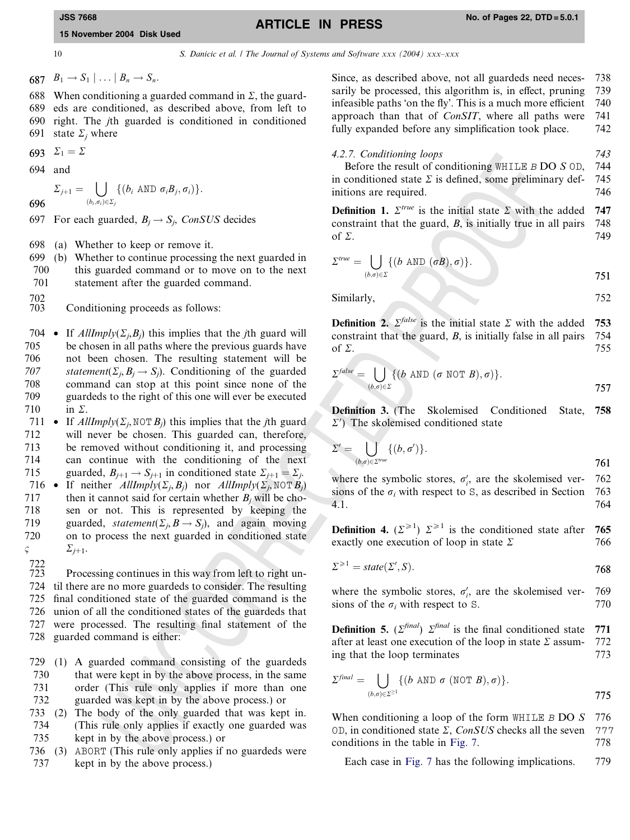687  $B_1 \rightarrow S_1 \mid \ldots \mid B_n \rightarrow S_n$ .

688 When conditioning a guarded command in  $\Sigma$ , the guard-689 eds are conditioned, as described above, from left to 690 right. The jth guarded is conditioned in conditioned 691 state  $\Sigma_i$  where

$$
693\quad \Sigma_1=\Sigma
$$

694 and

696

 $\Sigma_{j+1} = \begin{pmatrix} \end{pmatrix}$  $(b_i,\sigma_i) \in \Sigma_j$  $\{(b_i \text{ AND } \sigma_iB_j, \sigma_i)\}.$ 

15 November 2004 Disk Used

697 For each guarded,  $B_i \rightarrow S_j$ , ConSUS decides

- 698 (a) Whether to keep or remove it.
- 699 (b) Whether to continue processing the next guarded in 700 this guarded command or to move on to the next 701 statement after the guarded command.
- 702 Conditioning proceeds as follows:
- *4. 6. Continuouslage SHILE B 3D*<br>
(*U*<sub>A</sub> *U*<sub>A</sub> *R i R B* in conditional and 2 is defined, some preliminary<br>
another as the particle in the analytical in the space of the intermediation of the continuous process 704 • If  $\text{AllImply}(\Sigma_j, B_j)$  this implies that the *j*th guard will 705 be chosen in all paths where the previous guards have 706 not been chosen. The resulting statement will be 707 statement( $\Sigma_i, B_i \rightarrow S_i$ ). Conditioning of the guarded 708 command can stop at this point since none of the 709 guardeds to the right of this one will ever be executed 710 in  $\Sigma$ .
- 711 If  $\text{Al} \text{Im} \rho \text{Tr}(\Sigma_i, \text{NOT} \text{B}_i)$  this implies that the *j*th guard 712 will never be chosen. This guarded can, therefore, 713 be removed without conditioning it, and processing 714 can continue with the conditioning of the next 715 guarded,  $B_{i+1} \to S_{i+1}$  in conditioned state  $\Sigma_{i+1} = \Sigma_i$ .

716 • If neither  $\text{Allmply}(\Sigma_i, B_i)$  nor  $\text{Allmply}(\Sigma_i,\text{NOT }B_i)$ 717 then it cannot said for certain whether  $B_i$  will be cho-718 sen or not. This is represented by keeping the 719 guarded, *statement*( $\Sigma_j$ ,  $B \rightarrow S_j$ ), and again moving<br>720 on to process the next guarded in conditioned state on to process the next guarded in conditioned state  $\varsigma$   $\Sigma_{i+1}$ .

722 Processing continues in this way from left to right un-724 til there are no more guardeds to consider. The resulting 725 final conditioned state of the guarded command is the 726 union of all the conditioned states of the guardeds that 727 were processed. The resulting final statement of the 728 guarded command is either:

- 729 (1) A guarded command consisting of the guardeds 730 that were kept in by the above process, in the same 731 order (This rule only applies if more than one 732 guarded was kept in by the above process.) or
- 733 (2) The body of the only guarded that was kept in. 734 (This rule only applies if exactly one guarded was 735 kept in by the above process.) or
- 736 (3) ABORT (This rule only applies if no guardeds were 737 kept in by the above process.)

Since, as described above, not all guardeds need neces- 738 sarily be processed, this algorithm is, in effect, pruning 739 infeasible paths 'on the fly'. This is a much more efficient 740 approach than that of ConSIT, where all paths were 741 fully expanded before any simplification took place.  $\frac{742}{2}$ 

4.2.7. Conditioning loops 743

Before the result of conditioning WHILE  $B$  DO  $S$  OD, 744 in conditioned state  $\Sigma$  is defined, some preliminary def- 745 initions are required. 746

**Definition 1.**  $\Sigma^{true}$  is the initial state  $\Sigma$  with the added 747 constraint that the guard,  $B$ , is initially true in all pairs 748 of  $\Sigma$ . 749

$$
\Sigma^{true} = \bigcup_{(b,\sigma)\in\Sigma} \{ (b \text{ AND } (\sigma B), \sigma) \}.
$$

Similarly,  $\frac{752}{25}$ 

**Definition 2.**  $\Sigma^{false}$  is the initial state  $\Sigma$  with the added 753 constraint that the guard,  $B$ , is initially false in all pairs  $754$ of  $\Sigma$ . 755

$$
\Sigma^{false} = \bigcup_{(b,\sigma)\in\Sigma} \{ (b \text{ AND } (\sigma \text{ NOT } B), \sigma) \}.
$$

Definition 3. (The Skolemised Conditioned State, 758  $\Sigma'$ ) The skolemised conditioned state

$$
\Sigma' = \bigcup_{(b,\sigma) \in \Sigma^{true}} \{ (b,\sigma') \}.
$$

where the symbolic stores,  $\sigma_i'$ , are the skolemised ver- 762 sions of the  $\sigma_i$  with respect to S, as described in Section 763 4.1. 764

**Definition 4.**  $(\Sigma^{\geq 1})$   $\Sigma^{\geq 1}$  is the conditioned state after 765 exactly one execution of loop in state  $\Sigma$  766

 $\Sigma^{\geq 1} = state(\Sigma', S).$  $(5).$  768

where the symbolic stores,  $\sigma_i'$ , are the skolemised ver- 769 sions of the  $\sigma_i$  with respect to S.  $770$ 

**Definition 5.** ( $\Sigma^{final}$ )  $\Sigma^{final}$  is the final conditioned state 771 after at least one execution of the loop in state  $\Sigma$  assum- 772 ing that the loop terminates 773

$$
\Sigma^{final} = \bigcup_{(b,\sigma)\in\Sigma^{\geq 1}} \{ (b \text{ AND } \sigma \text{ (NOT } B), \sigma) \}.
$$

When conditioning a loop of the form WHILE  $\overline{B}$  DO S 776 OD, in conditioned state  $\Sigma$ , ConSUS checks all the seven 777 conditions in the table in [Fig. 7.](#page-10-0) 778

Each case in [Fig. 7](#page-10-0) has the following implications. 779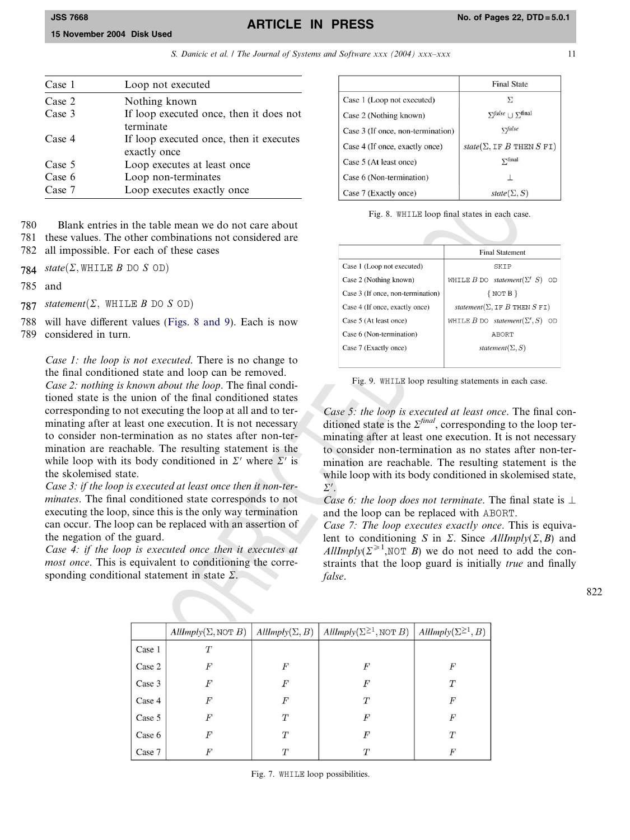S. Danicic et al. / The Journal of Systems and Software xxx (2004) xxx–xxx 11

<span id="page-10-0"></span>

| Case 1 | Loop not executed                       |
|--------|-----------------------------------------|
| Case 2 | Nothing known                           |
| Case 3 | If loop executed once, then it does not |
|        | terminate                               |
| Case 4 | If loop executed once, then it executes |
|        | exactly once                            |
| Case 5 | Loop executes at least once             |
| Case 6 | Loop non-terminates                     |
| Case 7 | Loop executes exactly once              |
|        |                                         |

780 Blank entries in the table mean we do not care about

781 these values. The other combinations not considered are 782 all impossible. For each of these cases

784  $state(\Sigma, \text{WHILE } B \text{ DO } S \text{ OD})$ 

785 and

787 statement $(\Sigma, \text{ WHICH } B \text{ DO } S \text{ OD})$ 

788 will have different values (Figs. 8 and 9). Each is now 789 considered in turn.

Case 1: the loop is not executed. There is no change to the final conditioned state and loop can be removed.

Case 2: nothing is known about the loop. The final conditioned state is the union of the final conditioned states corresponding to not executing the loop at all and to terminating after at least one execution. It is not necessary to consider non-termination as no states after non-termination are reachable. The resulting statement is the while loop with its body conditioned in  $\Sigma'$  where  $\Sigma'$  is the skolemised state.

Case 3: if the loop is executed at least once then it non-terminates. The final conditioned state corresponds to not executing the loop, since this is the only way termination can occur. The loop can be replaced with an assertion of the negation of the guard.

Case 4: if the loop is executed once then it executes at most once. This is equivalent to conditioning the corresponding conditional statement in state  $\Sigma$ .

|                                   | <b>Final State</b>                                       |
|-----------------------------------|----------------------------------------------------------|
| Case 1 (Loop not executed)        | $\sum$                                                   |
| Case 2 (Nothing known)            | $\sum false + \sum final$                                |
| Case 3 (If once, non-termination) | yfalse                                                   |
| Case 4 (If once, exactly once)    | $state(\Sigma, \text{IF } B \text{ THEN } S \text{ FI})$ |
| Case 5 (At least once)            | yfinal                                                   |
| Case 6 (Non-termination)          |                                                          |
| Case 7 (Exactly once)             | state $(\Sigma, S)$                                      |

Fig. 8. WHILE loop final states in each case.

|                                   | <b>Final Statement</b>                     |
|-----------------------------------|--------------------------------------------|
| Case 1 (Loop not executed)        | SKTP                                       |
| Case 2 (Nothing known)            | WHILE $B$ DO statement( $\Sigma'$ S)<br>OD |
| Case 3 (If once, non-termination) | $\{NOTB\}$                                 |
| Case 4 (If once, exactly once)    | statement( $\Sigma$ , IF B THEN S FI)      |
| Case 5 (At least once)            | WHILE $B$ DO statement $(\Sigma', S)$ OD   |
| Case 6 (Non-termination)          | ABORT                                      |
| Case 7 (Exactly once)             | statement( $\Sigma, S$ )                   |
|                                   |                                            |

Fig. 9. WHILE loop resulting statements in each case.

Case 5: the loop is executed at least once. The final conditioned state is the  $\Sigma^{final}$ , corresponding to the loop terminating after at least one execution. It is not necessary to consider non-termination as no states after non-termination are reachable. The resulting statement is the while loop with its body conditioned in skolemised state,  $\Sigma^{\prime}.$ 

Case 6: the loop does not terminate. The final state is  $\perp$ and the loop can be replaced with ABORT.

Case 7: The loop executes exactly once. This is equivalent to conditioning S in  $\Sigma$ . Since AllImply( $\Sigma$ , B) and AllImply( $\Sigma^{\geq 1}$ , NOT B) we do not need to add the constraints that the loop guard is initially *true* and finally false.

822

|                                 | <b>CARCITY OFFICE</b> | Loop executes at least once                                                                                                                                                                                                                                                                                                                                                                                                                                                                                                                                                                                                                                                                                                                                                                                                         |                  | Case 5 (At least once)                                                                                                                                                                                                                                                                                                                                                                                                                                                                                                                                                                                                                                                                                                                                                               |                                  |  | $\Sigma^{\text{final}}$                  |
|---------------------------------|-----------------------|-------------------------------------------------------------------------------------------------------------------------------------------------------------------------------------------------------------------------------------------------------------------------------------------------------------------------------------------------------------------------------------------------------------------------------------------------------------------------------------------------------------------------------------------------------------------------------------------------------------------------------------------------------------------------------------------------------------------------------------------------------------------------------------------------------------------------------------|------------------|--------------------------------------------------------------------------------------------------------------------------------------------------------------------------------------------------------------------------------------------------------------------------------------------------------------------------------------------------------------------------------------------------------------------------------------------------------------------------------------------------------------------------------------------------------------------------------------------------------------------------------------------------------------------------------------------------------------------------------------------------------------------------------------|----------------------------------|--|------------------------------------------|
|                                 |                       | Loop non-terminates                                                                                                                                                                                                                                                                                                                                                                                                                                                                                                                                                                                                                                                                                                                                                                                                                 |                  |                                                                                                                                                                                                                                                                                                                                                                                                                                                                                                                                                                                                                                                                                                                                                                                      | Case 6 (Non-termination)         |  |                                          |
|                                 |                       | Loop executes exactly once                                                                                                                                                                                                                                                                                                                                                                                                                                                                                                                                                                                                                                                                                                                                                                                                          |                  | Case 7 (Exactly once)                                                                                                                                                                                                                                                                                                                                                                                                                                                                                                                                                                                                                                                                                                                                                                |                                  |  | $\bot$<br>state $(\Sigma, S)$            |
|                                 |                       |                                                                                                                                                                                                                                                                                                                                                                                                                                                                                                                                                                                                                                                                                                                                                                                                                                     |                  |                                                                                                                                                                                                                                                                                                                                                                                                                                                                                                                                                                                                                                                                                                                                                                                      |                                  |  |                                          |
|                                 |                       |                                                                                                                                                                                                                                                                                                                                                                                                                                                                                                                                                                                                                                                                                                                                                                                                                                     |                  | Fig. 8. WHILE loop final states in each case.                                                                                                                                                                                                                                                                                                                                                                                                                                                                                                                                                                                                                                                                                                                                        |                                  |  |                                          |
|                                 |                       | ntries in the table mean we do not care about<br>es. The other combinations not considered are                                                                                                                                                                                                                                                                                                                                                                                                                                                                                                                                                                                                                                                                                                                                      |                  |                                                                                                                                                                                                                                                                                                                                                                                                                                                                                                                                                                                                                                                                                                                                                                                      |                                  |  |                                          |
|                                 |                       | ible. For each of these cases                                                                                                                                                                                                                                                                                                                                                                                                                                                                                                                                                                                                                                                                                                                                                                                                       |                  |                                                                                                                                                                                                                                                                                                                                                                                                                                                                                                                                                                                                                                                                                                                                                                                      |                                  |  | <b>Final Statement</b>                   |
| IILE $B$ DO $S$ OD)             |                       |                                                                                                                                                                                                                                                                                                                                                                                                                                                                                                                                                                                                                                                                                                                                                                                                                                     |                  | Case 1 (Loop not executed)                                                                                                                                                                                                                                                                                                                                                                                                                                                                                                                                                                                                                                                                                                                                                           |                                  |  | SKIP                                     |
|                                 |                       |                                                                                                                                                                                                                                                                                                                                                                                                                                                                                                                                                                                                                                                                                                                                                                                                                                     |                  | Case 2 (Nothing known)                                                                                                                                                                                                                                                                                                                                                                                                                                                                                                                                                                                                                                                                                                                                                               |                                  |  | WHILE $B$ DO statement( $\Sigma'$ S)     |
|                                 |                       |                                                                                                                                                                                                                                                                                                                                                                                                                                                                                                                                                                                                                                                                                                                                                                                                                                     |                  | Case 3 (If once, non-termination)                                                                                                                                                                                                                                                                                                                                                                                                                                                                                                                                                                                                                                                                                                                                                    |                                  |  | $\{NOTB\}$                               |
| $\Sigma$ , WHILE $B$ DO $S$ OD) |                       |                                                                                                                                                                                                                                                                                                                                                                                                                                                                                                                                                                                                                                                                                                                                                                                                                                     |                  | Case 4 (If once, exactly once)                                                                                                                                                                                                                                                                                                                                                                                                                                                                                                                                                                                                                                                                                                                                                       |                                  |  | statement( $\Sigma$ , IF $B$ THEN $S$ FI |
|                                 |                       | different values (Figs. 8 and 9). Each is now                                                                                                                                                                                                                                                                                                                                                                                                                                                                                                                                                                                                                                                                                                                                                                                       |                  | Case 5 (At least once)                                                                                                                                                                                                                                                                                                                                                                                                                                                                                                                                                                                                                                                                                                                                                               |                                  |  | WHILE $B$ DO statement $(\Sigma', S)$    |
| in turn.                        |                       |                                                                                                                                                                                                                                                                                                                                                                                                                                                                                                                                                                                                                                                                                                                                                                                                                                     |                  | Case 6 (Non-termination)                                                                                                                                                                                                                                                                                                                                                                                                                                                                                                                                                                                                                                                                                                                                                             |                                  |  | ABORT                                    |
|                                 |                       |                                                                                                                                                                                                                                                                                                                                                                                                                                                                                                                                                                                                                                                                                                                                                                                                                                     |                  | Case 7 (Exactly once)                                                                                                                                                                                                                                                                                                                                                                                                                                                                                                                                                                                                                                                                                                                                                                |                                  |  | statement( $\Sigma, S$ )                 |
| ised state.<br>on of the guard. |                       | e loop is not executed. There is no change to<br>onditioned state and loop can be removed.<br>thing is known about the loop. The final condi-<br>te is the union of the final conditioned states<br>ling to not executing the loop at all and to ter-<br>fter at least one execution. It is not necessary<br>r non-termination as no states after non-ter-<br>are reachable. The resulting statement is the<br>with its body conditioned in $\Sigma'$ where $\Sigma'$ is<br>he loop is executed at least once then it non-ter-<br>he final conditioned state corresponds to not<br>the loop, since this is the only way termination<br>The loop can be replaced with an assertion of<br>the loop is executed once then it executes at<br>This is equivalent to conditioning the corre-<br>conditional statement in state $\Sigma$ . |                  | Fig. 9. WHILE loop resulting statements in each case.<br>Case 5: the loop is executed at least once. The final<br>ditioned state is the $\Sigma^{final}$ , corresponding to the lo<br>minating after at least one execution. It is not need<br>to consider non-termination as no states after no<br>mination are reachable. The resulting statement<br>while loop with its body conditioned in skolemised<br>$\Sigma'.$<br>Case 6: the loop does not terminate. The final sta<br>and the loop can be replaced with ABORT.<br>Case 7: The loop executes exactly once. This is e<br>lent to conditioning S in $\Sigma$ . Since AllImply( $\Sigma$ , i<br>AllImply( $\Sigma^{\geq 1}$ , NOT B) we do not need to add th<br>straints that the loop guard is initially true and<br>false. |                                  |  |                                          |
|                                 |                       | AllImply( $\Sigma$ , NOT B) AllImply( $\Sigma$ , B)                                                                                                                                                                                                                                                                                                                                                                                                                                                                                                                                                                                                                                                                                                                                                                                 |                  | AllImply( $\Sigma^{\geq 1}$ , NOT B)                                                                                                                                                                                                                                                                                                                                                                                                                                                                                                                                                                                                                                                                                                                                                 | AllImply( $\Sigma^{\geq 1}, B$ ) |  |                                          |
|                                 |                       |                                                                                                                                                                                                                                                                                                                                                                                                                                                                                                                                                                                                                                                                                                                                                                                                                                     |                  |                                                                                                                                                                                                                                                                                                                                                                                                                                                                                                                                                                                                                                                                                                                                                                                      |                                  |  |                                          |
|                                 | Case 1                | $\cal T$                                                                                                                                                                                                                                                                                                                                                                                                                                                                                                                                                                                                                                                                                                                                                                                                                            |                  |                                                                                                                                                                                                                                                                                                                                                                                                                                                                                                                                                                                                                                                                                                                                                                                      |                                  |  |                                          |
|                                 | Case 2                | $\cal F$                                                                                                                                                                                                                                                                                                                                                                                                                                                                                                                                                                                                                                                                                                                                                                                                                            | $\cal F$         | $\cal F$                                                                                                                                                                                                                                                                                                                                                                                                                                                                                                                                                                                                                                                                                                                                                                             | $\cal F$                         |  |                                          |
|                                 | Case 3                | $\boldsymbol{F}$                                                                                                                                                                                                                                                                                                                                                                                                                                                                                                                                                                                                                                                                                                                                                                                                                    | $\boldsymbol{F}$ | $\boldsymbol{F}$                                                                                                                                                                                                                                                                                                                                                                                                                                                                                                                                                                                                                                                                                                                                                                     | $\cal T$                         |  |                                          |
|                                 | Case 4                | F                                                                                                                                                                                                                                                                                                                                                                                                                                                                                                                                                                                                                                                                                                                                                                                                                                   | $\boldsymbol{F}$ | $\cal T$                                                                                                                                                                                                                                                                                                                                                                                                                                                                                                                                                                                                                                                                                                                                                                             | $\cal F$                         |  |                                          |
|                                 | Case 5                | $\cal F$                                                                                                                                                                                                                                                                                                                                                                                                                                                                                                                                                                                                                                                                                                                                                                                                                            | $\cal T$         | $\cal F$                                                                                                                                                                                                                                                                                                                                                                                                                                                                                                                                                                                                                                                                                                                                                                             | $\cal F$                         |  |                                          |
|                                 | Case 6                | $_{F}$                                                                                                                                                                                                                                                                                                                                                                                                                                                                                                                                                                                                                                                                                                                                                                                                                              | $\cal T$         | $_{F}$                                                                                                                                                                                                                                                                                                                                                                                                                                                                                                                                                                                                                                                                                                                                                                               | $\cal T$                         |  |                                          |
|                                 | Case 7                | $\cal F$                                                                                                                                                                                                                                                                                                                                                                                                                                                                                                                                                                                                                                                                                                                                                                                                                            | $\cal T$         | $\cal T$                                                                                                                                                                                                                                                                                                                                                                                                                                                                                                                                                                                                                                                                                                                                                                             | $\cal F$                         |  |                                          |
|                                 |                       |                                                                                                                                                                                                                                                                                                                                                                                                                                                                                                                                                                                                                                                                                                                                                                                                                                     |                  |                                                                                                                                                                                                                                                                                                                                                                                                                                                                                                                                                                                                                                                                                                                                                                                      |                                  |  |                                          |

Fig. 7. WHILE loop possibilities.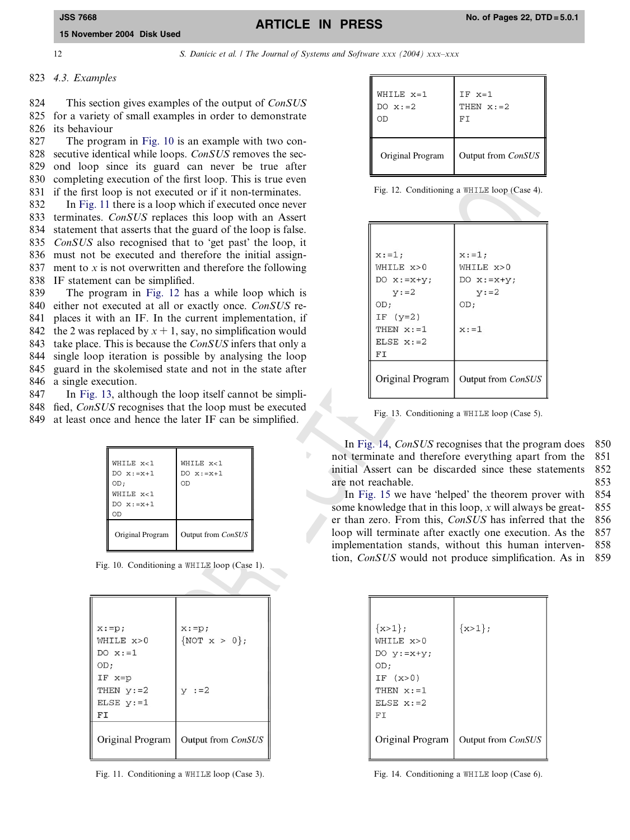12 S. Danicic et al. / The Journal of Systems and Software xxx (2004) xxx–xxx

#### 823 4.3. Examples

824 This section gives examples of the output of ConSUS 825 for a variety of small examples in order to demonstrate 826 its behaviour

827 The program in Fig. 10 is an example with two con-828 secutive identical while loops. ConSUS removes the sec-829 ond loop since its guard can never be true after 830 completing execution of the first loop. This is true even 831 if the first loop is not executed or if it non-terminates.

832 In Fig. 11 there is a loop which if executed once never 833 terminates. ConSUS replaces this loop with an Assert 834 statement that asserts that the guard of the loop is false. 835 ConSUS also recognised that to 'get past' the loop, it 836 must not be executed and therefore the initial assign-837 ment to  $x$  is not overwritten and therefore the following 838 IF statement can be simplified.

839 The program in Fig. 12 has a while loop which is 840 either not executed at all or exactly once. ConSUS re-841 places it with an IF. In the current implementation, if 842 the 2 was replaced by  $x + 1$ , say, no simplification would 843 take place. This is because the *ConSUS* infers that only a 844 single loop iteration is possible by analysing the loop 845 guard in the skolemised state and not in the state after 846 a single execution.

847 In Fig. 13, although the loop itself cannot be simpli-848 fied, ConSUS recognises that the loop must be executed 849 at least once and hence the later IF can be simplified.

| OD;<br>WHILE x<1<br>$DO \ x:=x+1$<br>OD | OD                        |
|-----------------------------------------|---------------------------|
| Original Program                        | Output from <i>ConSUS</i> |

Fig. 10. Conditioning a WHILE loop (Case 1).

| $x := p;$<br>WHILE x>0<br>DO $x:=1$                       | $x := p;$<br>$\{NOT x > 0\};$ |
|-----------------------------------------------------------|-------------------------------|
| OD;<br>$IF$ $x=p$<br>THEN $y := 2$<br>ELSE $y := 1$<br>FI | $y := 2$                      |
| Original Program                                          | Output from ConSUS            |

Fig. 11. Conditioning a WHILE loop (Case 3).

| WHILE $x=1$      | $TF \mathbf{x}=1$  |
|------------------|--------------------|
| $DO \times := 2$ | THEN $x := 2$      |
| ΩD               | FT                 |
| Original Program | Output from ConSUS |

Fig. 12. Conditioning a WHILE loop (Case 4).

|                                                                   | entical while loops. ConSUS removes the sec-<br>since its guard can never be true after                                                                                                                                                                                                                                                                                                                                                                                                                                                                                                                                                                                                                         | Original Program                                                                                                                   | Output from <i>ConSUS</i>                                                                                                                                                                                                                                                                                           |
|-------------------------------------------------------------------|-----------------------------------------------------------------------------------------------------------------------------------------------------------------------------------------------------------------------------------------------------------------------------------------------------------------------------------------------------------------------------------------------------------------------------------------------------------------------------------------------------------------------------------------------------------------------------------------------------------------------------------------------------------------------------------------------------------------|------------------------------------------------------------------------------------------------------------------------------------|---------------------------------------------------------------------------------------------------------------------------------------------------------------------------------------------------------------------------------------------------------------------------------------------------------------------|
|                                                                   | g execution of the first loop. This is true even<br>loop is not executed or if it non-terminates.<br>11 there is a loop which if executed once never<br>. ConSUS replaces this loop with an Assert                                                                                                                                                                                                                                                                                                                                                                                                                                                                                                              |                                                                                                                                    | Fig. 12. Conditioning a WHILE loop (Case 4).                                                                                                                                                                                                                                                                        |
| ent can be simplified.<br>ecution.                                | that asserts that the guard of the loop is false.<br>lso recognised that to 'get past' the loop, it<br>be executed and therefore the initial assign-<br>is not overwritten and therefore the following<br>ogram in Fig. 12 has a while loop which is<br>executed at all or exactly once. ConSUS re-<br>vith an IF. In the current implementation, if<br>eplaced by $x + 1$ , say, no simplification would<br>This is because the ConSUS infers that only a<br>o iteration is possible by analysing the loop<br>he skolemised state and not in the state after<br>13, although the loop itself cannot be simpli-<br>US recognises that the loop must be executed<br>ce and hence the later IF can be simplified. | $x:=1$ ;<br>WHILE x>0<br>DO $x:=x+y;$<br>$y: = 2$<br>OD;<br>IF $(y=2)$<br>THEN $x := 1$<br>ELSE $x := 2$<br>FI<br>Original Program | $x:=1$ ;<br>WHILE x>0<br>DO $x:=x+y;$<br>$y: = 2$<br>OD;<br>$x := 1$<br>Output from ConSUS<br>Fig. 13. Conditioning a WHILE loop (Case 5).                                                                                                                                                                          |
| WHILE x<1<br>DO $x:=x+1$<br>OD;<br>WHILE x<1<br>DO $x:=x+1$<br>OD | WHILE x<1<br>DO $x:=x+1$<br>OD                                                                                                                                                                                                                                                                                                                                                                                                                                                                                                                                                                                                                                                                                  | are not reachable.                                                                                                                 | In Fig. 14, ConSUS recognises that the program<br>not terminate and therefore everything apart fro<br>initial Assert can be discarded since these state<br>In Fig. 15 we have 'helped' the theorem prove<br>some knowledge that in this loop, $x$ will always be<br>er than zero. From this, ConSUS has inferred th |
| Original Program                                                  | Output from ConSUS                                                                                                                                                                                                                                                                                                                                                                                                                                                                                                                                                                                                                                                                                              |                                                                                                                                    | loop will terminate after exactly one execution.<br>implementation stands, without this human in<br>tion, ConSUS would not produce simplification.                                                                                                                                                                  |
|                                                                   | ig. 10. Conditioning a WHILE loop (Case 1).                                                                                                                                                                                                                                                                                                                                                                                                                                                                                                                                                                                                                                                                     |                                                                                                                                    |                                                                                                                                                                                                                                                                                                                     |
| $\mathbf{r} := \mathbf{p}$<br>HILE x>0<br>$00 x := 1$<br>D;       | $x := p;$<br>$\{NOT x > 0\};$                                                                                                                                                                                                                                                                                                                                                                                                                                                                                                                                                                                                                                                                                   | ${x>1};$<br>WHILE x>0<br>DO $y:=x+y;$<br>OD;                                                                                       | $\{x>1\}$ ;                                                                                                                                                                                                                                                                                                         |
| $F$ $x=p$<br>$HEN$ $Y := 2$<br>$SLSE$ $y:=1$<br>ľΣ                | $y := 2$                                                                                                                                                                                                                                                                                                                                                                                                                                                                                                                                                                                                                                                                                                        | IF $(x>0)$<br>THEN $x := 1$<br>ELSE $x:=2$<br>F1                                                                                   |                                                                                                                                                                                                                                                                                                                     |
| Original Program                                                  | Output from ConSUS                                                                                                                                                                                                                                                                                                                                                                                                                                                                                                                                                                                                                                                                                              | Original Program                                                                                                                   | Output from ConSUS                                                                                                                                                                                                                                                                                                  |

Fig. 13. Conditioning a WHILE loop (Case 5).

In Fig. 14, ConSUS recognises that the program does 850 not terminate and therefore everything apart from the 851 initial Assert can be discarded since these statements 852 are not reachable. 853

In Fig. 15 we have 'helped' the theorem prover with 854 some knowledge that in this loop, x will always be great-  $855$ er than zero. From this, ConSUS has inferred that the 856 loop will terminate after exactly one execution. As the 857 implementation stands, without this human interven- 858 tion, ConSUS would not produce simplification. As in 859

| ${x>1};$           | $\{x>1\}$ ;               |
|--------------------|---------------------------|
| WHILE $x>0$        |                           |
| DO $y:=x+y;$       |                           |
| OD;                |                           |
| IF $(x>0)$         |                           |
| THEN $x := 1$      |                           |
| $ELSE \times := 2$ |                           |
| FT                 |                           |
| Original Program   | Output from <i>ConSUS</i> |

Fig. 14. Conditioning a WHILE loop (Case 6).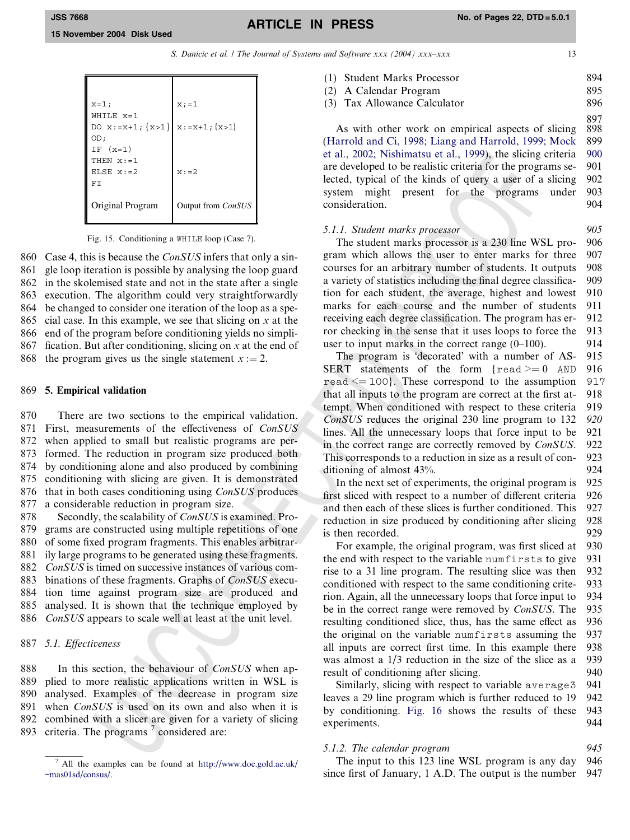ARTICLE IN PRESS

S. Danicic et al. / The Journal of Systems and Software xxx (2004) xxx–xxx 13

<span id="page-12-0"></span>

| $x=1;$               | $x_i = 1$                 |
|----------------------|---------------------------|
| WHILE $x=1$          |                           |
| DO $x:=x+1; \{x>1\}$ | $x:=x+1$ ; { $x>1$ }      |
| OD;                  |                           |
| $IF (x=1)$           |                           |
| THEN $x := 1$        |                           |
| $ELSE \times := 2$   | $x: = 2$                  |
| FT                   |                           |
| Original Program     | Output from <i>ConSUS</i> |

Fig. 15. Conditioning a WHILE loop (Case 7).

860 Case 4, this is because the ConSUS infers that only a sin-861 gle loop iteration is possible by analysing the loop guard 862 in the skolemised state and not in the state after a single 863 execution. The algorithm could very straightforwardly 864 be changed to consider one iteration of the loop as a spe-865 cial case. In this example, we see that slicing on x at the 866 end of the program before conditioning yields no simpli-867 fication. But after conditioning, slicing on  $x$  at the end of 868 the program gives us the single statement  $x := 2$ .

#### 869 5. Empirical validation

870 There are two sections to the empirical validation. 871 First, measurements of the effectiveness of ConSUS 872 when applied to small but realistic programs are per-873 formed. The reduction in program size produced both 874 by conditioning alone and also produced by combining 875 conditioning with slicing are given. It is demonstrated 876 that in both cases conditioning using ConSUS produces 877 a considerable reduction in program size.

878 Secondly, the scalability of ConSUS is examined. Pro-879 grams are constructed using multiple repetitions of one 880 of some fixed program fragments. This enables arbitrar-881 ily large programs to be generated using these fragments. 882 ConSUS is timed on successive instances of various com-883 binations of these fragments. Graphs of ConSUS execu-884 tion time against program size are produced and 885 analysed. It is shown that the technique employed by 886 *ConSUS* appears to scale well at least at the unit level.

#### 887 5.1. Effectiveness

888 In this section, the behaviour of *ConSUS* when ap-889 plied to more realistic applications written in WSL is 890 analysed. Examples of the decrease in program size 891 when ConSUS is used on its own and also when it is 892 combined with a slicer are given for a variety of slicing 893 criteria. The programs  $<sup>7</sup>$  considered are:</sup>

| (1) Student Marks Processor  | 894 |
|------------------------------|-----|
| (2) A Calendar Program       | 895 |
| (3) Tax Allowance Calculator | 896 |

et al., 2002; Nishimatsu et al., 1999), the slicing consideration are developed to be realistic criteria for the program<br>lected, typical of the kinds of query a user of a<br>system might present for the programs<br>consideration 897<br>898 As with other work on empirical aspects of slicing ([Harrold and Ci, 1998; Liang and Harrold, 1999; Mock](#page-20-0) 899 [et al., 2002; Nishimatsu et al., 1999](#page-20-0)), the slicing criteria 900 are developed to be realistic criteria for the programs se- 901 lected, typical of the kinds of query a user of a slicing 902 system might present for the programs under 903 consideration. 904

#### 5.1.1. Student marks processor 905

The student marks processor is a 230 line WSL pro- 906 gram which allows the user to enter marks for three 907 courses for an arbitrary number of students. It outputs 908 a variety of statistics including the final degree classifica- 909 tion for each student, the average, highest and lowest 910 marks for each course and the number of students 911 receiving each degree classification. The program has er- 912 ror checking in the sense that it uses loops to force the 913 user to input marks in the correct range  $(0-100)$ . 914

The program is 'decorated' with a number of AS- 915 SERT statements of the form  $\{read \ge 0 \text{ AND } 916$ read  $\leq$  100. These correspond to the assumption 917 that all inputs to the program are correct at the first at- 918 tempt. When conditioned with respect to these criteria 919 ConSUS reduces the original 230 line program to 132 920 lines. All the unnecessary loops that force input to be 921 in the correct range are correctly removed by *ConSUS*. 922 This corresponds to a reduction in size as a result of con- 923 ditioning of almost  $43\%$ . 924

In the next set of experiments, the original program is 925 first sliced with respect to a number of different criteria 926 and then each of these slices is further conditioned. This 927 reduction in size produced by conditioning after slicing 928 is then recorded. 929

Is 15. Constitutions a  $W_{\text{eff}}$ . Sometime through the constrained propagation is in the constant in the system of the box of the system is a specific term in the system of constant in the system of the box in the system For example, the original program, was first sliced at 930 the end with respect to the variable numfirsts to give 931 rise to a 31 line program. The resulting slice was then 932 conditioned with respect to the same conditioning crite- 933 rion. Again, all the unnecessary loops that force input to 934 be in the correct range were removed by *ConSUS*. The 935 resulting conditioned slice, thus, has the same effect as 936 the original on the variable numfirsts assuming the 937 all inputs are correct first time. In this example there 938 was almost a 1/3 reduction in the size of the slice as a 939 result of conditioning after slicing. 940

Similarly, slicing with respect to variable average3 941 leaves a 29 line program which is further reduced to 19 942 by conditioning. [Fig. 16](#page-13-0) shows the results of these 943 experiments. 944

#### 5.1.2. The calendar program 945

The input to this 123 line WSL program is any day 946 since first of January, 1 A.D. The output is the number 947

<sup>7</sup> All the examples can be found at [http://www.doc.gold.ac.uk/](http://www.grammatech.com) [~mas01sd/consus/](http://www.grammatech.com).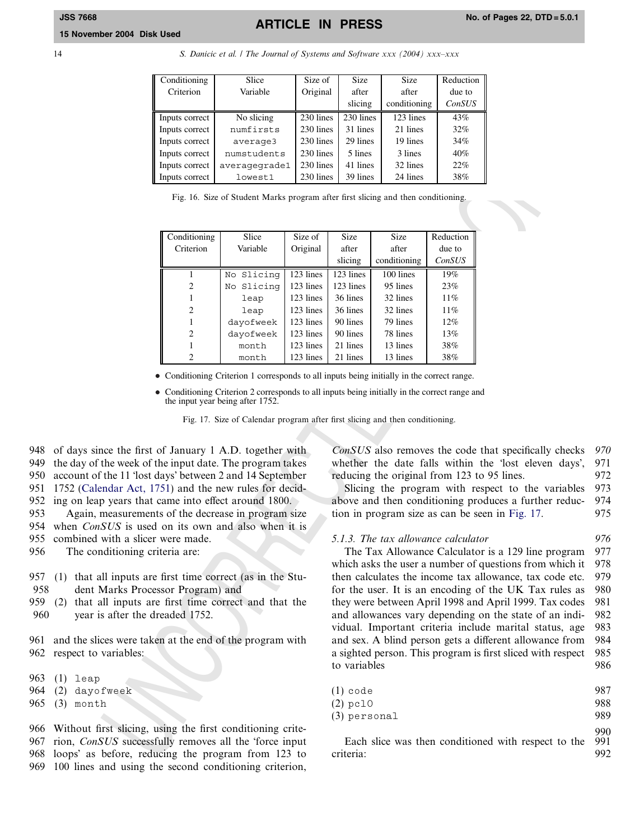<span id="page-13-0"></span>14 S. Danicic et al. / The Journal of Systems and Software xxx (2004) xxx–xxx

| Conditioning   | Slice         | Size of   | <b>Size</b> | <b>Size</b>  | Reduction |
|----------------|---------------|-----------|-------------|--------------|-----------|
| Criterion      | Variable      | Original  | after       | after        | due to    |
|                |               |           | slicing     | conditioning | ConSUS    |
| Inputs correct | No slicing    | 230 lines | 230 lines   | 123 lines    | 43%       |
| Inputs correct | numfirsts     | 230 lines | 31 lines    | 21 lines     | 32%       |
| Inputs correct | average3      | 230 lines | 29 lines    | 19 lines     | 34%       |
| Inputs correct | numstudents   | 230 lines | 5 lines     | 3 lines      | 40%       |
| Inputs correct | averagegrade1 | 230 lines | 41 lines    | 32 lines     | 22%       |
| Inputs correct | lowest1       | 230 lines | 39 lines    | 24 lines     | 38%       |

Fig. 16. Size of Student Marks program after first slicing and then conditioning.

|                              | inputs correct                           | numstudents                                                                                   | 230 lines              | 5 lines                                                                                                     | 3 lines                                     | 40%           |                                                  |
|------------------------------|------------------------------------------|-----------------------------------------------------------------------------------------------|------------------------|-------------------------------------------------------------------------------------------------------------|---------------------------------------------|---------------|--------------------------------------------------|
|                              | Inputs correct                           | averagegrade1                                                                                 | 230 lines              | 41 lines                                                                                                    | 32 lines                                    | 22%           |                                                  |
|                              | Inputs correct                           | lowest1                                                                                       | 230 lines              | 39 lines                                                                                                    | 24 lines                                    | 38%           |                                                  |
|                              |                                          | Fig. 16. Size of Student Marks program after first slicing and then conditioning.             |                        |                                                                                                             |                                             |               |                                                  |
|                              |                                          |                                                                                               |                        |                                                                                                             |                                             |               |                                                  |
|                              |                                          |                                                                                               |                        |                                                                                                             |                                             |               |                                                  |
|                              | Conditioning                             | Slice                                                                                         | Size of                | Size                                                                                                        | Size                                        | Reduction     |                                                  |
|                              | Criterion                                | Variable                                                                                      | Original               | after                                                                                                       | after                                       | due to        |                                                  |
|                              |                                          |                                                                                               |                        | slicing                                                                                                     | conditioning                                | ConSUS        |                                                  |
|                              |                                          |                                                                                               |                        |                                                                                                             | 100 lines                                   |               |                                                  |
|                              | 1<br>$\mathbf{2}$                        | No Slicing<br>No Slicinq                                                                      | 123 lines<br>123 lines | 123 lines<br>123 lines                                                                                      | 95 lines                                    | 19%<br>$23\%$ |                                                  |
|                              | 1                                        |                                                                                               | 123 lines              | 36 lines                                                                                                    | 32 lines                                    | 11%           |                                                  |
|                              | 2                                        | leap                                                                                          | 123 lines              | 36 lines                                                                                                    | 32 lines                                    | $11\%$        |                                                  |
|                              | 1                                        | leap                                                                                          | 123 lines              | 90 lines                                                                                                    | 79 lines                                    | 12%           |                                                  |
|                              | $\mathfrak{2}$                           | dayofweek                                                                                     | 123 lines              | 90 lines                                                                                                    | 78 lines                                    | 13%           |                                                  |
|                              | 1                                        | dayofweek<br>month                                                                            | 123 lines              | 21 lines                                                                                                    | 13 lines                                    | 38%           |                                                  |
|                              | $\overline{2}$                           | month                                                                                         | 123 lines              | 21 lines                                                                                                    | 13 lines                                    | 38%           |                                                  |
|                              |                                          |                                                                                               |                        |                                                                                                             |                                             |               |                                                  |
|                              |                                          | • Conditioning Criterion 1 corresponds to all inputs being initially in the correct range.    |                        |                                                                                                             |                                             |               |                                                  |
|                              |                                          | • Conditioning Criterion 2 corresponds to all inputs being initially in the correct range and |                        |                                                                                                             |                                             |               |                                                  |
|                              |                                          | the input year being after 1752.                                                              |                        |                                                                                                             |                                             |               |                                                  |
|                              |                                          | Fig. 17. Size of Calendar program after first slicing and then conditioning.                  |                        |                                                                                                             |                                             |               |                                                  |
|                              |                                          |                                                                                               |                        |                                                                                                             |                                             |               |                                                  |
|                              |                                          |                                                                                               |                        |                                                                                                             |                                             |               |                                                  |
|                              |                                          | nce the first of January 1 A.D. together with                                                 |                        |                                                                                                             |                                             |               | ConSUS also removes the code that specifically   |
|                              |                                          | the week of the input date. The program takes                                                 |                        |                                                                                                             |                                             |               | whether the date falls within the 'lost eleven   |
|                              |                                          | the 11 'lost days' between 2 and 14 September                                                 |                        |                                                                                                             | reducing the original from 123 to 95 lines. |               |                                                  |
|                              |                                          | endar Act, 1751) and the new rules for decid-                                                 |                        |                                                                                                             |                                             |               | Slicing the program with respect to the va       |
|                              |                                          | p years that came into effect around 1800.                                                    |                        |                                                                                                             |                                             |               | above and then conditioning produces a further   |
|                              |                                          | measurements of the decrease in program size                                                  |                        |                                                                                                             |                                             |               | tion in program size as can be seen in Fig. 17.  |
|                              |                                          | SUS is used on its own and also when it is                                                    |                        |                                                                                                             |                                             |               |                                                  |
| with a slicer were made.     |                                          |                                                                                               |                        |                                                                                                             | 5.1.3. The tax allowance calculator         |               |                                                  |
| ditioning criteria are:      |                                          |                                                                                               |                        |                                                                                                             |                                             |               | The Tax Allowance Calculator is a 129 line pr    |
|                              |                                          |                                                                                               |                        |                                                                                                             |                                             |               | which asks the user a number of questions from w |
|                              |                                          | Il inputs are first time correct (as in the Stu-                                              |                        |                                                                                                             |                                             |               | then calculates the income tax allowance, tax co |
| Marks Processor Program) and |                                          |                                                                                               |                        | for the user. It is an encoding of the UK Tax r                                                             |                                             |               |                                                  |
|                              |                                          | all inputs are first time correct and that the                                                |                        | they were between April 1998 and April 1999. Tax                                                            |                                             |               |                                                  |
| s after the dreaded 1752.    |                                          |                                                                                               |                        | and allowances vary depending on the state of a                                                             |                                             |               |                                                  |
|                              |                                          |                                                                                               |                        |                                                                                                             |                                             |               | vidual. Important criteria include marital statu |
|                              |                                          | ces were taken at the end of the program with                                                 |                        |                                                                                                             |                                             |               |                                                  |
| variables:                   |                                          |                                                                                               |                        | and sex. A blind person gets a different allowance<br>a sighted person. This program is first sliced with a |                                             |               |                                                  |
|                              |                                          |                                                                                               |                        | to variables                                                                                                |                                             |               |                                                  |
|                              |                                          |                                                                                               |                        |                                                                                                             |                                             |               |                                                  |
| fweek                        |                                          |                                                                                               |                        | $(1)$ code                                                                                                  |                                             |               |                                                  |
| h                            |                                          |                                                                                               |                        | $(2)$ pcl $0$                                                                                               |                                             |               |                                                  |
|                              |                                          |                                                                                               |                        | $(3)$ personal                                                                                              |                                             |               |                                                  |
|                              |                                          | rst slicing, using the first conditioning crite-                                              |                        |                                                                                                             |                                             |               |                                                  |
|                              |                                          | SUS successfully removes all the 'force input                                                 |                        |                                                                                                             |                                             |               |                                                  |
|                              |                                          |                                                                                               |                        | criteria:                                                                                                   |                                             |               | Each slice was then conditioned with respect     |
|                              | before, reducing the program from 123 to |                                                                                               |                        |                                                                                                             |                                             |               |                                                  |

948 of days since the first of January 1 A.D. together with 949 the day of the week of the input date. The program takes

950 account of the 11 'lost days' between 2 and 14 September 951 1752 [\(Calendar Act, 1751](#page-19-0)) and the new rules for decid-

952 ing on leap years that came into effect around 1800.

953 Again, measurements of the decrease in program size 954 when *ConSUS* is used on its own and also when it is

- 955 combined with a slicer were made.
- 956 The conditioning criteria are:
- 957 (1) that all inputs are first time correct (as in the Stu-958 dent Marks Processor Program) and
- 959 (2) that all inputs are first time correct and that the 960 year is after the dreaded 1752.

961 and the slices were taken at the end of the program with 962 respect to variables:

963 (1) leap 964 (2) dayofweek

965 (3) month

966 Without first slicing, using the first conditioning crite-967 rion, ConSUS successfully removes all the 'force input 968 loops' as before, reducing the program from 123 to 969 100 lines and using the second conditioning criterion,

ConSUS also removes the code that specifically checks 970 whether the date falls within the 'lost eleven days', , 971 reducing the original from 123 to 95 lines. 972

Slicing the program with respect to the variables 973 above and then conditioning produces a further reduc- 974 tion in program size as can be seen in Fig. 17. 975

#### 5.1.3. The tax allowance calculator 976

The Tax Allowance Calculator is a 129 line program 977 which asks the user a number of questions from which it 978 then calculates the income tax allowance, tax code etc. 979 for the user. It is an encoding of the UK Tax rules as 980 they were between April 1998 and April 1999. Tax codes 981 and allowances vary depending on the state of an indi- 982 vidual. Important criteria include marital status, age 983 and sex. A blind person gets a different allowance from 984 a sighted person. This program is first sliced with respect 985 to variables 986

- (2) pc10 988
- (3) personal 989

990<br>991 Each slice was then conditioned with respect to the criteria: 992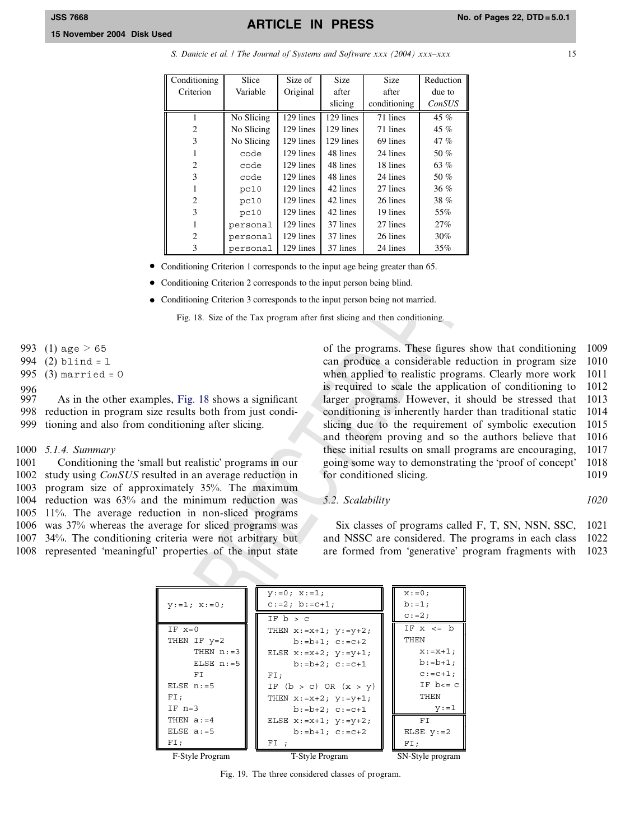<span id="page-14-0"></span>S. Danicic et al. / The Journal of Systems and Software xxx (2004) xxx–xxx 15

| Conditioning   | Slice      | Size of   | <b>Size</b> | <b>Size</b>  | Reduction |
|----------------|------------|-----------|-------------|--------------|-----------|
| Criterion      | Variable   | Original  | after       | after        | due to    |
|                |            |           | slicing     | conditioning | ConSUS    |
|                | No Slicing | 129 lines | 129 lines   | 71 lines     | 45 $%$    |
| $\mathfrak{D}$ | No Slicing | 129 lines | 129 lines   | 71 lines     | 45 $%$    |
| 3              | No Slicing | 129 lines | 129 lines   | 69 lines     | 47%       |
|                | code       | 129 lines | 48 lines    | 24 lines     | 50 %      |
| $\overline{c}$ | code       | 129 lines | 48 lines    | 18 lines     | 63 $%$    |
| 3              | code       | 129 lines | 48 lines    | 24 lines     | 50 %      |
|                | pc10       | 129 lines | 42 lines    | 27 lines     | 36%       |
| $\mathfrak{D}$ | pc10       | 129 lines | 42 lines    | 26 lines     | 38 %      |
| 3              | pc10       | 129 lines | 42 lines    | 19 lines     | 55%       |
|                | personal   | 129 lines | 37 lines    | 27 lines     | 27%       |
| $\mathfrak{D}$ | personal   | 129 lines | 37 lines    | 26 lines     | 30%       |
| 3              | personal   | 129 lines | 37 lines    | 24 lines     | 35%       |

993 (1) age  $> 65$ 

994  $(2)$  blind = 1

995 (3) married =  $0$ 

996<br>997 As in the other examples, Fig. 18 shows a significant 998 reduction in program size results both from just condi-999 tioning and also from conditioning after slicing.

#### 1000 5.1.4. Summary

1001 Conditioning the 'small but realistic' programs in our 1002 study using ConSUS resulted in an average reduction in 1003 program size of approximately 35%. The maximum 1004 reduction was 63% and the minimum reduction was 1005 11%. The average reduction in non-sliced programs 1006 was 37% whereas the average for sliced programs was 1007 34%. The conditioning criteria were not arbitrary but 1008 represented 'meaningful' properties of the input state

of the programs. These figures show that conditioning 1009 can produce a considerable reduction in program size 1010 when applied to realistic programs. Clearly more work 1011 is required to scale the application of conditioning to 1012 larger programs. However, it should be stressed that 1013 conditioning is inherently harder than traditional static 1014 slicing due to the requirement of symbolic execution 1015 and theorem proving and so the authors believe that 1016 these initial results on small programs are encouraging, 1017 going some way to demonstrating the 'proof of concept' 1018 for conditioned slicing. 1019

```
5.2. Scalability 1020
```
Six classes of programs called F, T, SN, NSN, SSC, 1021 and NSSC are considered. The programs in each class 1022 are formed from 'generative' program fragments with 1023

|                                                                                                     | Τ.                                                                                                | coae                                                                        | $129$ lines                                                                                                                                  | 48 lines                   | 24 lines |           | $50\%$           |                                                    |
|-----------------------------------------------------------------------------------------------------|---------------------------------------------------------------------------------------------------|-----------------------------------------------------------------------------|----------------------------------------------------------------------------------------------------------------------------------------------|----------------------------|----------|-----------|------------------|----------------------------------------------------|
|                                                                                                     | 2                                                                                                 | code                                                                        | 129 lines                                                                                                                                    | 48 lines                   | 18 lines |           | 63 %             |                                                    |
|                                                                                                     | 3                                                                                                 | code                                                                        | 129 lines                                                                                                                                    | 48 lines                   | 24 lines |           | 50 %             |                                                    |
|                                                                                                     | $\mathbf{1}$                                                                                      | pc10                                                                        | 129 lines                                                                                                                                    | 42 lines                   | 27 lines |           | 36 %             |                                                    |
|                                                                                                     | 2                                                                                                 | pc10                                                                        | 129 lines                                                                                                                                    | 42 lines                   | 26 lines |           | $38~\%$          |                                                    |
|                                                                                                     | 3                                                                                                 | pc10                                                                        | 129 lines                                                                                                                                    | 42 lines                   | 19 lines |           | 55%              |                                                    |
|                                                                                                     | 1                                                                                                 | personal                                                                    | 129 lines                                                                                                                                    | 37 lines                   | 27 lines |           | 27%              |                                                    |
|                                                                                                     | $\mathfrak{2}$                                                                                    | personal                                                                    | 129 lines                                                                                                                                    | 37 lines                   | 26 lines |           | 30%              |                                                    |
|                                                                                                     | 3                                                                                                 | personal                                                                    | 129 lines                                                                                                                                    | 37 lines                   | 24 lines |           | 35%              |                                                    |
|                                                                                                     | Conditioning Criterion 1 corresponds to the input age being greater than 65.                      |                                                                             |                                                                                                                                              |                            |          |           |                  |                                                    |
|                                                                                                     | Conditioning Criterion 2 corresponds to the input person being blind.                             |                                                                             |                                                                                                                                              |                            |          |           |                  |                                                    |
|                                                                                                     | Conditioning Criterion 3 corresponds to the input person being not married.                       |                                                                             |                                                                                                                                              |                            |          |           |                  |                                                    |
|                                                                                                     |                                                                                                   | Fig. 18. Size of the Tax program after first slicing and then conditioning. |                                                                                                                                              |                            |          |           |                  |                                                    |
|                                                                                                     |                                                                                                   |                                                                             |                                                                                                                                              |                            |          |           |                  |                                                    |
| 65                                                                                                  |                                                                                                   |                                                                             |                                                                                                                                              |                            |          |           |                  |                                                    |
| $= 1$                                                                                               | of the programs. These figures show that condit<br>can produce a considerable reduction in progra |                                                                             |                                                                                                                                              |                            |          |           |                  |                                                    |
| $ed = 0$                                                                                            | when applied to realistic programs. Clearly more                                                  |                                                                             |                                                                                                                                              |                            |          |           |                  |                                                    |
|                                                                                                     |                                                                                                   |                                                                             |                                                                                                                                              |                            |          |           |                  |                                                    |
|                                                                                                     |                                                                                                   |                                                                             |                                                                                                                                              |                            |          |           |                  | is required to scale the application of condition  |
| ne other examples, Fig. 18 shows a significant                                                      |                                                                                                   |                                                                             |                                                                                                                                              |                            |          |           |                  | larger programs. However, it should be stresse     |
| in program size results both from just condi-<br>conditioning is inherently harder than traditional |                                                                                                   |                                                                             |                                                                                                                                              |                            |          |           |                  |                                                    |
| d also from conditioning after slicing.                                                             |                                                                                                   |                                                                             |                                                                                                                                              |                            |          |           |                  | slicing due to the requirement of symbolic exerci- |
|                                                                                                     |                                                                                                   |                                                                             |                                                                                                                                              |                            |          |           |                  | and theorem proving and so the authors believ      |
| mary                                                                                                |                                                                                                   |                                                                             |                                                                                                                                              |                            |          |           |                  | these initial results on small programs are encour |
| going some way to demonstrating the 'proof of co<br>oning the 'small but realistic' programs in our |                                                                                                   |                                                                             |                                                                                                                                              |                            |          |           |                  |                                                    |
| g ConSUS resulted in an average reduction in                                                        |                                                                                                   |                                                                             |                                                                                                                                              | for conditioned slicing.   |          |           |                  |                                                    |
| size of approximately 35%. The maximum                                                              |                                                                                                   |                                                                             |                                                                                                                                              |                            |          |           |                  |                                                    |
| was 63% and the minimum reduction was                                                               |                                                                                                   |                                                                             |                                                                                                                                              | 5.2. Scalability           |          |           |                  |                                                    |
|                                                                                                     | average reduction in non-sliced programs                                                          |                                                                             |                                                                                                                                              |                            |          |           |                  |                                                    |
|                                                                                                     |                                                                                                   |                                                                             |                                                                                                                                              |                            |          |           |                  |                                                    |
| whereas the average for sliced programs was                                                         |                                                                                                   |                                                                             |                                                                                                                                              |                            |          |           |                  | Six classes of programs called F, T, SN, NSN       |
| conditioning criteria were not arbitrary but                                                        |                                                                                                   |                                                                             |                                                                                                                                              |                            |          |           |                  | and NSSC are considered. The programs in each      |
| d 'meaningful' properties of the input state                                                        |                                                                                                   |                                                                             |                                                                                                                                              |                            |          |           |                  | are formed from 'generative' program fragment      |
|                                                                                                     |                                                                                                   |                                                                             |                                                                                                                                              |                            |          |           |                  |                                                    |
|                                                                                                     |                                                                                                   |                                                                             | $y := 0; x := 1;$                                                                                                                            |                            |          | $x := 0;$ |                  |                                                    |
|                                                                                                     | $y := 1; x := 0;$                                                                                 |                                                                             | $\mathtt{c} \mathbin{\raisebox{.3pt}{:}\!=} 2 \mathbin{\raisebox{.3pt}{:}\!=} \mathtt{b} \mathbin{\raisebox{.3pt}{:}\!=} \mathtt{c} {+} 1$ ; |                            |          | $b := 1;$ |                  |                                                    |
|                                                                                                     |                                                                                                   |                                                                             | IF b > c                                                                                                                                     |                            |          | $c := 2;$ |                  |                                                    |
|                                                                                                     | $IF \mathbf{x}=0$                                                                                 |                                                                             |                                                                                                                                              | THEN $x:=x+1$ ; $y:=y+2$ ; |          |           | $IF x \le b$     |                                                    |
|                                                                                                     | THEN IF y=2                                                                                       |                                                                             |                                                                                                                                              | $b:=b+1; c:=c+2$           |          | THEN      |                  |                                                    |
|                                                                                                     | THEN $n:=3$                                                                                       |                                                                             | ELSE $x:=x+2; y:=y+1;$                                                                                                                       |                            |          |           | $x := x + 1;$    |                                                    |
|                                                                                                     | $ELSE n:=5$                                                                                       |                                                                             | $b:=b+2$ ; $c:=c+1$                                                                                                                          |                            |          |           | $b:=b+1;$        |                                                    |
|                                                                                                     | FI                                                                                                |                                                                             | FI:                                                                                                                                          |                            |          |           | $C := C + 1;$    |                                                    |
|                                                                                                     | $ELSE n:=5$                                                                                       |                                                                             | IF $(b > c)$ OR $(x > y)$                                                                                                                    |                            |          |           | IF $b \leq c$    |                                                    |
|                                                                                                     | FI;                                                                                               |                                                                             |                                                                                                                                              | THEN $x:=x+2$ ; $y:=y+1$ ; |          |           | THEN             |                                                    |
|                                                                                                     | $IF n=3$                                                                                          |                                                                             |                                                                                                                                              | $b:=b+2$ ; $c:=c+1$        |          |           | $y := 1$         |                                                    |
|                                                                                                     | THEN $a:=4$                                                                                       |                                                                             |                                                                                                                                              | ELSE $x:=x+1; y:=y+2;$     |          |           | FI               |                                                    |
|                                                                                                     | $ELSE a:=5$                                                                                       |                                                                             |                                                                                                                                              | $b:=b+1; c:=c+2$           |          |           | $ELSE$ $y := 2$  |                                                    |
|                                                                                                     | FI;                                                                                               |                                                                             | $FI$ ;                                                                                                                                       |                            |          | FI;       |                  |                                                    |
|                                                                                                     | F-Style Program                                                                                   |                                                                             | T-Style Program                                                                                                                              |                            |          |           | SN-Style program |                                                    |
|                                                                                                     |                                                                                                   |                                                                             |                                                                                                                                              |                            |          |           |                  |                                                    |

Fig. 19. The three considered classes of program.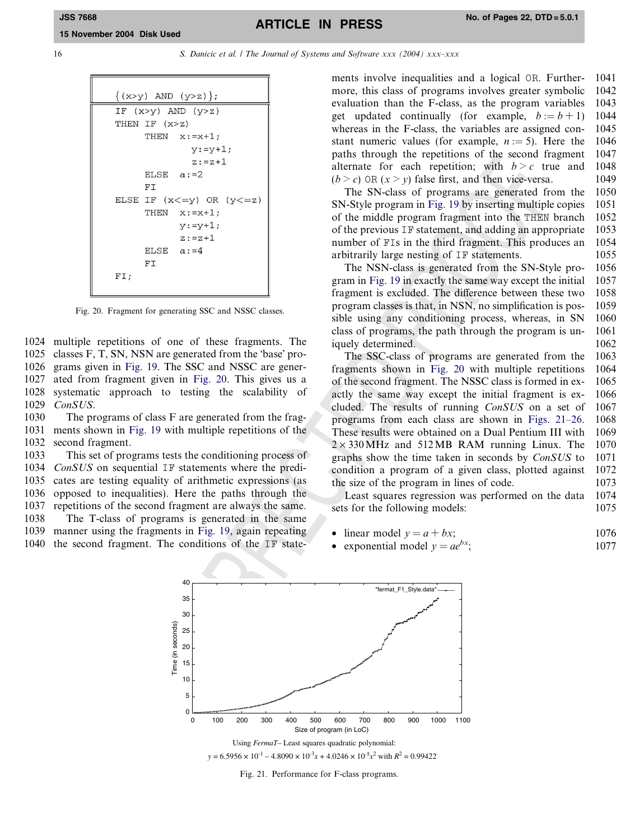<span id="page-15-0"></span>

16 S. Danicic et al. / The Journal of Systems and Software xxx (2004) xxx–xxx

| $\{(x>y)$ AND $(y>z)\};$           |
|------------------------------------|
| IF $(x> y)$ AND $(y> z)$           |
| THEN IF (x>z)                      |
| THEN $x:=x+1$ ;                    |
| $y: =y+1;$                         |
| $z := z + 1$                       |
| $ELSE \quad a:=2$                  |
| FI                                 |
| ELSE IF $(x \le y)$ OR $(y \le z)$ |
| THEN $x:=x+1$ ;                    |
| $y: =y+1;$                         |
| $z := z + 1$                       |
| ELSE $a:=4$                        |
| FT.                                |
| FI:                                |
|                                    |

Fig. 20. Fragment for generating SSC and NSSC classes.

1024 multiple repetitions of one of these fragments. The 1025 classes F, T, SN, NSN are generated from the 'base' pro-1026 grams given in Fig. 19. The SSC and NSSC are gener-1027 ated from fragment given in Fig. 20. This gives us a 1028 systematic approach to testing the scalability of 1029 ConSUS.

1030 The programs of class F are generated from the frag-1031 ments shown in Fig. 19 with multiple repetitions of the 1032 second fragment.

1033 This set of programs tests the conditioning process of 1034 ConSUS on sequential IF statements where the predi-1035 cates are testing equality of arithmetic expressions (as 1036 opposed to inequalities). Here the paths through the 1037 repetitions of the second fragment are always the same. 1038 The T-class of programs is generated in the same 1039 manner using the fragments in Fig. 19, again repeating 1040 the second fragment. The conditions of the IF statements involve inequalities and a logical OR. Further- 1041 more, this class of programs involves greater symbolic 1042 evaluation than the F-class, as the program variables 1043 get updated continually (for example,  $b := b + 1$ ) 1044 whereas in the F-class, the variables are assigned con- 1045 stant numeric values (for example,  $n := 5$ ). Here the 1046 paths through the repetitions of the second fragment 1047 alternate for each repetition; with  $b > c$  true and 1048  $(b > c)$  OR  $(x > y)$  false first, and then vice-versa. 1049

The SN-class of programs are generated from the 1050 SN-Style program in Fig. 19 by inserting multiple copies 1051 of the middle program fragment into the THEN branch 1052 of the previous IF statement, and adding an appropriate 1053 number of FIs in the third fragment. This produces an 1054 arbitrarily large nesting of IF statements. 1055

The NSN-class is generated from the SN-Style pro- 1056 gram in [Fig. 19](#page-14-0) in exactly the same way except the initial 1057 fragment is excluded. The difference between these two 1058 program classes is that, in NSN, no simplification is pos- 1059 sible using any conditioning process, whereas, in SN 1060 class of programs, the path through the program is un- 1061 iquely determined. 1062

The SSC-class of programs are generated from the 1063 fragments shown in Fig. 20 with multiple repetitions 1064 of the second fragment. The NSSC class is formed in ex- 1065 actly the same way except the initial fragment is ex- 1066 cluded. The results of running ConSUS on a set of 1067 programs from each class are shown in Figs. 21–26. 1068 These results were obtained on a Dual Pentium III with 1069  $2 \times 330 \text{ MHz}$  and  $512 \text{ MB}$  RAM running Linux. The 1070 graphs show the time taken in seconds by ConSUS to 1071 condition a program of a given class, plotted against 1072 the size of the program in lines of code. 1073

Least squares regression was performed on the data 1074 sets for the following models: 1075

- linear model  $y = a + bx$ ; 1076
- exponential model  $y = ae^{bx}$ ; 1077



Fig. 21. Performance for F-class programs.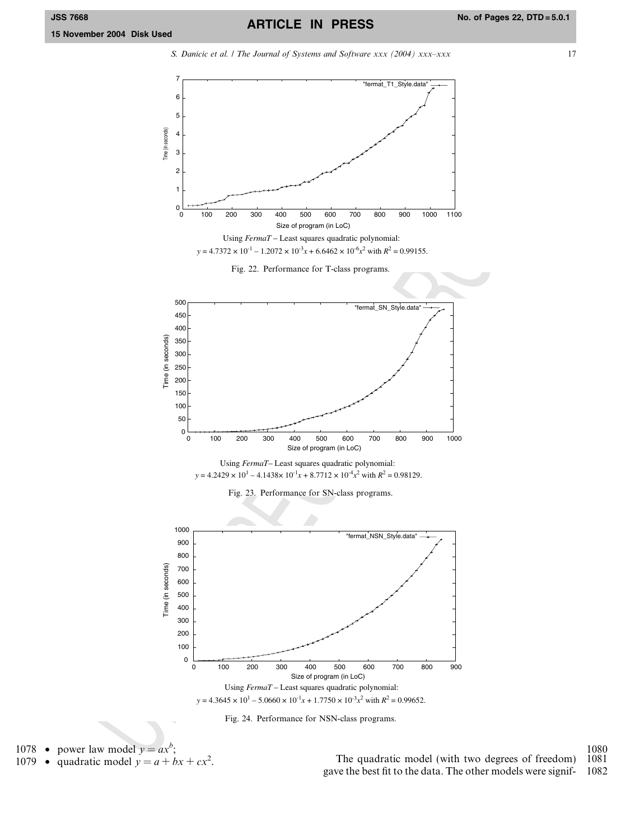S. Danicic et al. / The Journal of Systems and Software xxx (2004) xxx-xxx







Using *FermaT*– Least squares quadratic polynomial:  $y = 4.2429 \times 10^{1} - 4.1438 \times 10^{-1}x + 8.7712 \times 10^{-4}x^{2}$  with  $R^{2} = 0.98129$ .







1079 • quadratic model  $y = a + bx + cx^2$ .

 $\frac{1080}{1081}$ The quadratic model (with two degrees of freedom) gave the best fit to the data. The other models were signif- 1082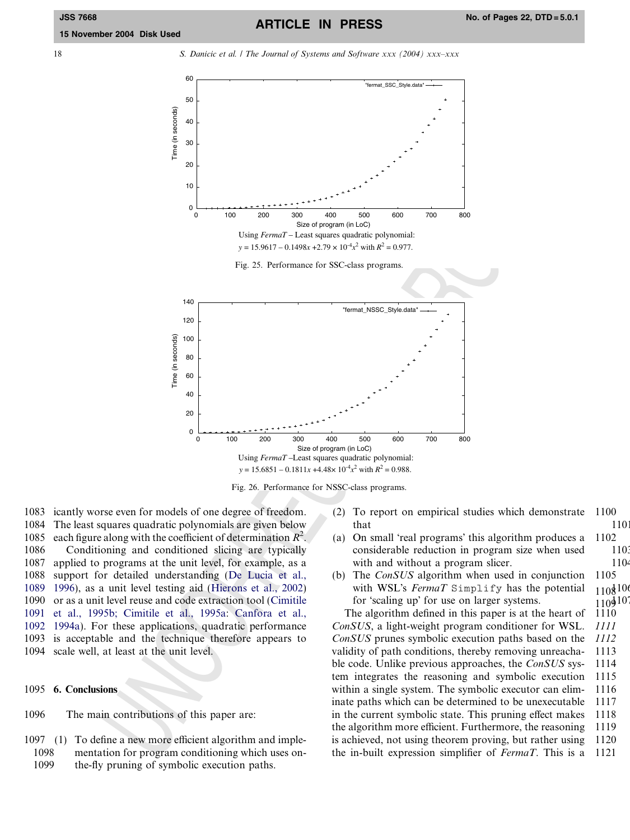



Fig. 26. Performance for NSSC-class programs.

1083 icantly worse even for models of one degree of freedom. 1084 The least squares quadratic polynomials are given below 1085 each figure along with the coefficient of determination  $R^2$ . 1086 Conditioning and conditioned slicing are typically 1087 applied to programs at the unit level, for example, as a 1088 support for detailed understanding (De Lucia et al., 1089 [1996\)](#page-19-0), as a unit level testing aid (Hierons et al., 2002) 1090 or as a unit level reuse and code extraction tool (Cimitile 1091 [et al., 1995b; Cimitile et al., 1995a:](#page-19-0) Canfora et al., 1092 [1994a\)](#page-19-0). For these applications, quadratic performance 1093 is acceptable and the technique therefore appears to 1094 scale well, at least at the unit level.

#### 1095 6. Conclusions

1096 The main contributions of this paper are:

1097 (1) To define a new more efficient algorithm and imple-1098 mentation for program conditioning which uses on-1099 the-fly pruning of symbolic execution paths.

- (2) To report on empirical studies which demonstrate 1100 that 1101
- (a) On small 'real programs' this algorithm produces a 1102 considerable reduction in program size when used 1103 with and without a program slicer. 1104
- (b) The ConSUS algorithm when used in conjunction 1105 with WSL's FermaT Simplify has the potential  $110\frac{1}{6}$ for 'scaling up' for use on larger systems.  $110\frac{1}{0}$ 110810

 $\frac{110}{1110}$ The algorithm defined in this paper is at the heart of ConSUS, a light-weight program conditioner for WSL. 1111 ConSUS prunes symbolic execution paths based on the 1112 validity of path conditions, thereby removing unreacha- 1113 ble code. Unlike previous approaches, the ConSUS sys- 1114 tem integrates the reasoning and symbolic execution 1115 within a single system. The symbolic executor can elim- 1116 inate paths which can be determined to be unexecutable 1117 in the current symbolic state. This pruning effect makes 1118 the algorithm more efficient. Furthermore, the reasoning 1119 is achieved, not using theorem proving, but rather using 1120 the in-built expression simplifier of  $FermaT$ . This is a 1121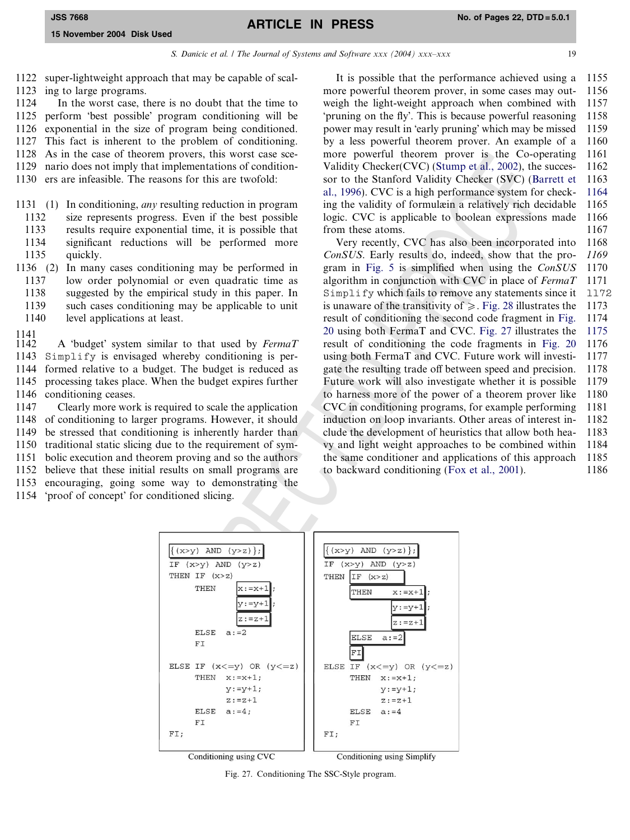1122 super-lightweight approach that may be capable of scal-1123 ing to large programs.

1124 In the worst case, there is no doubt that the time to 1125 perform 'best possible' program conditioning will be 1126 exponential in the size of program being conditioned. 1127 This fact is inherent to the problem of conditioning. 1128 As in the case of theorem provers, this worst case sce-

1129 nario does not imply that implementations of condition-

1130 ers are infeasible. The reasons for this are twofold:

1131 (1) In conditioning, any resulting reduction in program

1132 size represents progress. Even if the best possible

- 1133 results require exponential time, it is possible that
- 1134 significant reductions will be performed more 1135 quickly.

1136 (2) In many cases conditioning may be performed in 1137 low order polynomial or even quadratic time as 1138 suggested by the empirical study in this paper. In 1139 such cases conditioning may be applicable to unit

1140 level applications at least.

1141<br>1142

1142 A 'budget' system similar to that used by FermaT 1143 Simplify is envisaged whereby conditioning is per-1144 formed relative to a budget. The budget is reduced as 1145 processing takes place. When the budget expires further 1146 conditioning ceases.

1147 Clearly more work is required to scale the application 1148 of conditioning to larger programs. However, it should 1149 be stressed that conditioning is inherently harder than 1150 traditional static slicing due to the requirement of sym-1151 bolic execution and theorem proving and so the authors 1152 believe that these initial results on small programs are 1153 encouraging, going some way to demonstrating the 1154 'proof of concept' for conditioned slicing.

It is possible that the performance achieved using a 1155 more powerful theorem prover, in some cases may out- 1156 weigh the light-weight approach when combined with 1157 'pruning on the fly'. This is because powerful reasoning 1158 power may result in 'early pruning' which may be missed 1159 by a less powerful theorem prover. An example of a 1160 more powerful theorem prover is the Co-operating 1161 Validity Checker(CVC) (Stump et al., 2002), the succes- 1162 sor to the Stanford Validity Checker (SVC) ([Barrett et](#page-19-0) 1163 [al., 1996](#page-19-0)). CVC is a high performance system for check- 1164 ing the validity of formulæin a relatively rich decidable 1165 logic. CVC is applicable to boolean expressions made 1166 from these atoms. 1167

Very recently, CVC has also been incorporated into 1168 ConSUS. Early results do, indeed, show that the pro- 1169 gram in [Fig. 5](#page-5-0) is simplified when using the ConSUS 1170 algorithm in conjunction with CVC in place of  $FermaT$  1171 Simplify which fails to remove any statements since it 1172 is unaware of the transitivity of  $\geq$ . Fig. 28 illustrates the 1173 result of conditioning the second code fragment in [Fig.](#page-15-0) 1174 [20](#page-15-0) using both FermaT and CVC. Fig. 27 illustrates the 1175 result of conditioning the code fragments in [Fig. 20](#page-15-0) 1176 using both FermaT and CVC. Future work will investi- 1177 gate the resulting trade off between speed and precision. 1178 Future work will also investigate whether it is possible 1179 to harness more of the power of a theorem prover like 1180 CVC in conditioning programs, for example performing 1181 induction on loop invariants. Other areas of interest in- 1182 clude the development of heuristics that allow both hea- 1183 vy and light weight approaches to be combined within 1184 the same conditioner and applications of this approach 1185 to backward conditioning [\(Fox et al., 2001](#page-20-0)). 1186



Fig. 27. Conditioning The SSC-Style program.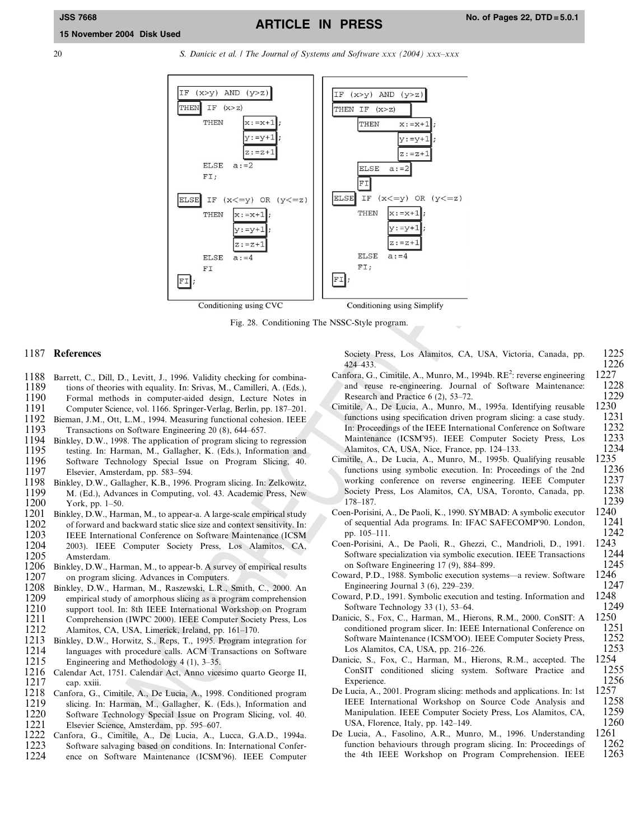<span id="page-19-0"></span>

Fig. 28. Conditioning The NSSC-Style program.

#### 1187 References

- 1188 Barrett, C., Dill, D., Levitt, J., 1996. Validity checking for combina-<br>1189 tions of theories with equality. In: Srivas, M., Camilleri, A. (Eds.).
- 1189 tions of theories with equality. In: Srivas, M., Camilleri, A. (Eds.),<br>1190 Formal methods in computer-aided design. Lecture Notes in
- 1190 Formal methods in computer-aided design, Lecture Notes in 1191 Computer Science vol. 1166. Springer-Verlag. Berlin. pp. 187–201. 1191 Computer Science, vol. 1166. Springer-Verlag, Berlin, pp. 187–201.
- 
- 1192 Bieman, J.M., Ott, L.M., 1994. Measuring functional cohesion. IEEE<br>1193 Transactions on Software Engineering 20 (8), 644–657.
- 1193 Transactions on Software Engineering 20 (8), 644–657.<br>1194 Binkley, D.W., 1998. The application of program slicing to 1194 Binkley, D.W., 1998. The application of program slicing to regression<br>1195 testing In: Harman M. Gallagher K. (Eds.) Information and
- testing. In: Harman, M., Gallagher, K. (Eds.), Information and 1196 Software Technology Special Issue on Program Slicing, 40.<br>1197 Elsevier, Amsterdam, pp. 583–594.
- 1197 Elsevier, Amsterdam, pp. 583–594.<br>1198 Binkley, D.W., Gallagher, K.B., 1996. 1198 Binkley, D.W., Gallagher, K.B., 1996. Program slicing. In: Zelkowitz, 1199 M. (Ed.). Advances in Computing. vol. 43. Academic Press. New M. (Ed.), Advances in Computing, vol. 43. Academic Press, New
- 1200 York, pp. 1–50.
- 1201 Binkley, D.W., Harman, M., to appear-a. A large-scale empirical study 1202 of forward and backward static slice size and context sensitivity. In:
- 1202 of forward and backward static slice size and context sensitivity. In:<br>1203 IEEE International Conference on Software Maintenance (ICSM) IEEE International Conference on Software Maintenance (ICSM
- 1204 2003). IEEE Computer Society Press, Los Alamitos, CA, 1205 Amsterdam.<br>1206 Binkley, D.W.,
- 1206 Binkley, D.W., Harman, M., to appear-b. A survey of empirical results 1207 on program slicing. Advances in Computers. on program slicing. Advances in Computers.
- 1208 Binkley, D.W., Harman, M., Raszewski, L.R., Smith, C., 2000. An 1209 empirical study of amorphous slicing as a program comprehension 1210 support tool. In: 8th IEEE International Workshop on Program 1210 support tool. In: 8th IEEE International Workshop on Program<br>1211 Comprehension (IWPC 2000). IEEE Computer Society Press. Los 1211 Comprehension (IWPC 2000). IEEE Computer Society Press, Los<br>1212 Alamitos. CA. USA. Limerick. Ireland. pp. 161–170. Alamitos, CA, USA, Limerick, Ireland, pp. 161–170.
- 1213 Binkley, D.W., Horwitz, S., Reps, T., 1995. Program integration for 1214 languages with procedure calls. ACM Transactions on Software 1215 Engineering and Methodology 4 (1), 3–35.
- 1215 Engineering and Methodology 4 (1), 3–35.<br>1216 Calendar Act, 1751. Calendar Act, Anno vices Calendar Act, 1751. Calendar Act, Anno vicesimo quarto George II, 1217 cap. xxiii.
- 1218 Canfora, G., Cimitile, A., De Lucia, A., 1998. Conditioned program 1219 slicing. In: Harman, M., Gallagher, K. (Eds.), Information and 1219 slicing. In: Harman, M., Gallagher, K. (Eds.), Information and 1220 Software Technology Special Issue on Program Slicing. vol. 40. 1220 Software Technology Special Issue on Program Slicing, vol. 40.<br>1221 Elsevier Science, Amsterdam, pp. 595–607. Elsevier Science, Amsterdam, pp. 595–607.
- 1222 Canfora, G., Cimitile, A., De Lucia, A., Lucca, G.A.D., 1994a.
- 1223 Software salvaging based on conditions. In: International Confer-<br>1224 ence on Software Maintenance (ICSM'96). IEEE Computer 1224 ence on Software Maintenance (ICSM'96). IEEE Computer

Society Press, Los Alamitos, CA, USA, Victoria, Canada, pp. 1225 424–433. 1226

- Canfora, G., Cimitile, A., Munro, M., 1994b.  $RE^2$ : reverse engineering 1227 and reuse re-engineering. Journal of Software Maintenance: 1228<br>Research and Practice 6 (2) 53-72 Research and Practice 6 (2), 53–72.<br>
nitile, A., De Lucia, A., Munro, M., 1995a. Identifying reusable 1230
- Cimitile, A., De Lucia, A., Munro, M., 1995a. Identifying reusable 1230 functions using specification driven program slicing: a case study. 1231 functions using specification driven program slicing: a case study. In: Proceedings of the IEEE International Conference on Software 1232<br>Maintenance (ICSM'95). IEEE Computer Society Press. Los 1233 Maintenance (ICSM'95). IEEE Computer Society Press, Los 1233 Alamitos, CA, USA, Nice, France, pp. 124–133. 1234
- Cimitile, A., De Lucia, A., Munro, M., 1995b. Qualifying reusable 1235 functions using symbolic execution. In: Proceedings of the 2nd 1236 functions using symbolic execution. In: Proceedings of the 2nd 1236<br>working conference on reverse engineering. IEEE Computer 1237 working conference on reverse engineering. IEEE Computer 1237<br>Society Press. Los Alamitos. CA. USA. Toronto. Canada. pp. 1238 Society Press, Los Alamitos, CA, USA, Toronto, Canada, pp. 1238<br>178–187. 1239 178–187. 1239
- Coen-Porisini, A., De Paoli, K., 1990. SYMBAD: A symbolic executor 1240 of sequential Ada programs. In: IFAC SAFECOMP'90. London, 1241 pp. 105–111. 1242<br>en-Porisini, A., De Paoli, R., Ghezzi, C., Mandrioli, D., 1991. 1243
- Coen-Porisini, A., De Paoli, R., Ghezzi, C., Mandrioli, D., 1991. Software specialization via symbolic execution. IEEE Transactions 1244 on Software Engineering 17 (9), 884–899. 1245
- Coward, P.D., 1988. Symbolic execution systems—a review. Software 1246 Engineering Journal 3 (6), 229–239.<br>ward, P.D., 1991. Symbolic execution and testing. Information and 1248
- Coward, P.D., 1991. Symbolic execution and testing. Information and 1248 Software Technology 33 (1), 53–64. 124<br>
nicic S. Fox C. Harman M. Hierons R.M. 2000 ConSIT: A. 1250
- Danicic, S., Fox, C., Harman, M., Hierons, R.M., 2000. ConSIT: A 1250 conditioned program slicer. In: IEEE International Conference on 1251<br>Software Maintenance (ICSM'OO). IEEE Computer Society Press. 1252 Software Maintenance (ICSM'OO). IEEE Computer Society Press, 1252 Los Alamitos, CA, USA, pp. 216–226. 1253<br>nicic, S., Fox, C., Harman, M., Hierons, R.M., accepted. The 1254
- Danicic, S., Fox, C., Harman, M., Hierons, R.M., accepted. The 1254 ConSIT conditioned slicing system. Software Practice and 1255 Experience. 1256
- De Lucia, A., 2001. Program slicing: methods and applications. In: 1st 1257<br>IEEE International Workshop on Source Code Analysis and 1258 IEEE International Workshop on Source Code Analysis and 1258<br>Manipulation. IEEE Computer Society Press. Los Alamitos. CA. 1259 Manipulation. IEEE Computer Society Press, Los Alamitos, CA, USA, Florence, Italy, pp.  $142-149$ . 1260
- De Lucia, A., Fasolino, A.R., Munro, M., 1996. Understanding 1261 function behaviours through program slicing. In: Proceedings of 1262 the 4th IEEE Workshop on Program Comprehension. IEEE 1263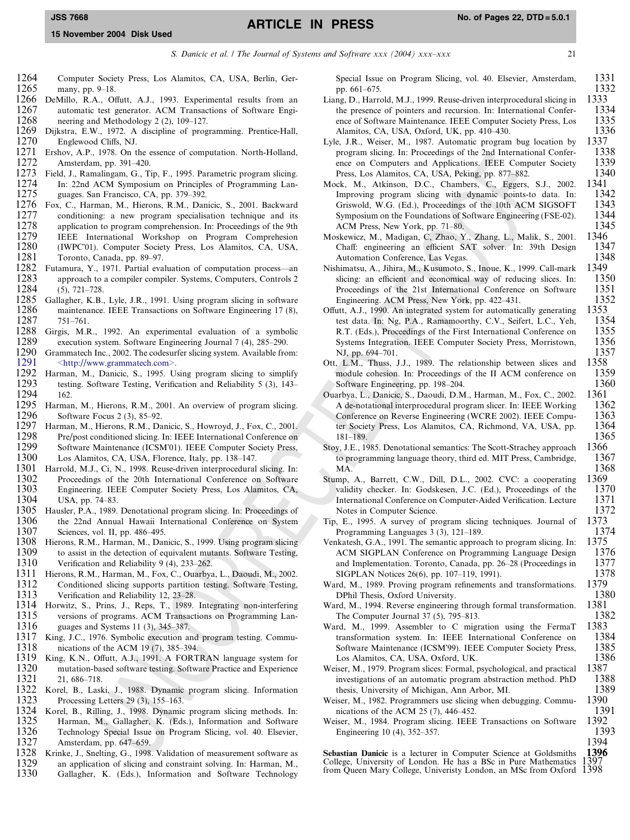#### ARTICLE IN PRESS

<span id="page-20-0"></span>15 November 2004 Disk Used

S. Danicic et al. / The Journal of Systems and Software xxx (2004) xxx–xxx 21

- 1264 Computer Society Press, Los Alamitos, CA, USA, Berlin, Ger-1265 many, pp. 9–18.<br>1266 DeMillo, R.A., Of
- 1266 DeMillo, R.A., Offutt, A.J., 1993. Experimental results from an 1267 automatic test generator. ACM Transactions of Software Engi-<br>1268 neering and Methodology 2 (2), 109–127. 1268 neering and Methodology 2 (2), 109–127.<br>1269 Diikstra, E.W., 1972. A discipline of prog
- 1269 Dijkstra, E.W., 1972. A discipline of programming. Prentice-Hall, Englewood Cliffs, NJ.
- 1271 Ershov, A.P., 1978. On the essence of computation. North-Holland, 1272 Amsterdam, pp. 391–420.<br>1273 Field, J., Ramalingam, G., T.
- 1273 Field, J., Ramalingam, G., Tip, F., 1995. Parametric program slicing.<br>1274 In: 22nd ACM Symposium on Principles of Programming Lan-1274 In: 22nd ACM Symposium on Principles of Programming Lan-<br>1275 guages. San Francisco. CA. pp. 379–392. 1275 guages. San Francisco, CA, pp. 379–392.<br>1276 Fox C. Harman M. Hierons R. M. Dan
- 1995. The Least Counter of Counter Counter Counter Counter Counter Counter Counter Counter Counter Counter Counter Counter Counter Counter Counter Counter Counter Counter Counter Counter Counter Counter Counter Counter Co 1276 Fox, C., Harman, M., Hierons, R.M., Danicic, S., 2001. Backward 1277 conditioning: a new program specialisation technique and its 1277 conditioning: a new program specialisation technique and its 1278 application to program comprehension. In: Proceedings of the 9th 1278 application to program comprehension. In: Proceedings of the 9th 1279 IEEE International Workshop on Program Comprehesion 1279 IEEE International Workshop on Program Comprehesion<br>1280 (IWPC'01). Computer Society Press. Los Alamitos. CA. USA. 1280 (IWPC'01). Computer Society Press, Los Alamitos, CA, USA, 1281 Toronto, Canada, pp. 89–97.
- 1282 Futamura, Y., 1971. Partial evaluation of computation process—an 1283 approach to a compiler compiler. Systems. Computers. Controls 2 1283 approach to a compiler compiler. Systems, Computers, Controls 2<br>1284 (5), 721–728.
- 1284 (5), 721–728.<br>1285 Gallagher, K.B.. 1285 Gallagher, K.B., Lyle, J.R., 1991. Using program slicing in software 1286 maintenance. IEEE Transactions on Software Engineering 17 (8), 1286 maintenance. IEEE Transactions on Software Engineering 17 (8), 1287 751-761.
- 1287 751–761.<br>1288 Girgis, M.F. 1288 Girgis, M.R., 1992. An experimental evaluation of a symbolic 1289 execution system. Software Engineering Journal 7 (4), 285–290. 1289 execution system. Software Engineering Journal 7 (4), 285–290.<br>1290 Grammatech Inc., 2002. The codesurfer slicing system. Available from
- 1290 Grammatech Inc., 2002. The codesurfer slicing system. Available from: 1291 [<http://www.grammatech.com>.](http://www.grammatech.com)<br>1292 Harman M Danicic S 1995 U
- 1292 Harman, M., Danicic, S., 1995. Using program slicing to simplify<br>1293 testing Software Testing Verification and Reliability 5.(3) 143– testing. Software Testing, Verification and Reliability 5 (3), 143– 1294 162.<br>1295 Harmai
- 1295 Harman, M., Hierons, R.M., 2001. An overview of program slicing.<br>1296 Software Focus 2 (3), 85–92. 1296 Software Focus 2 (3), 85–92.<br>1297 Harman, M., Hierons, R.M., Da
- 1297 Harman, M., Hierons, R.M., Danicic, S., Howroyd, J., Fox, C., 2001.<br>1298 Pre/post conditioned slicing. In: IEEE International Conference on 1298 Pre/post conditioned slicing. In: IEEE International Conference on<br>1299 Software Maintenance (ICSM'01). IEEE Computer Society Press. 1299 Software Maintenance (ICSM'01). IEEE Computer Society Press, 1300 Los Alamitos, CA, USA, Florence, Italy, pp. 138-147.<br>1301 Harrold, M.J., Ci. N., 1998. Reuse-driven interprocedural
- Harrold, M.J., Ci, N., 1998. Reuse-driven interprocedural slicing. In: 1302 Proceedings of the 20th International Conference on Software 1303 Engineering. IEEE Computer Society Press, Los Alamitos, CA, 1304 USA, pp. 74–83. 1304 USA, pp. 74–83.<br>1305 Hausler, P.A., 1989.
- Hausler, P.A., 1989. Denotational program slicing. In: Proceedings of 1306 the 22nd Annual Hawaii International Conference on System 1307 Sciences, vol. II, pp. 486–495. 1307 Sciences, vol. II, pp. 486–495.<br>1308 Hierons, R.M., Harman, M., Dar
- 1308 Hierons, R.M., Harman, M., Danicic, S., 1999. Using program slicing 1309 to assist in the detection of equivalent mutants. Software Testing. to assist in the detection of equivalent mutants. Software Testing, 1310 Verification and Reliability 9 (4), 233–262.<br>1311 Hierons, R.M., Harman, M., Fox, C., Quarbya
- Hierons, R.M., Harman, M., Fox, C., Ouarbya, L., Daoudi, M., 2002. 1312 Conditioned slicing supports partition testing. Software Testing,<br>1313 Verification and Reliability 12, 23–28. 1313 Verification and Reliability 12, 23–28.<br>1314 Horwitz, S., Prins, J., Reps, T., 1989.
- Horwitz, S., Prins, J., Reps, T., 1989. Integrating non-interfering 1315 versions of programs. ACM Transactions on Programming Lan-1316 guages and Systems 11 (3), 345–387.
- 1317 King, J.C., 1976. Symbolic execution and program testing. Commu-<br>1318 incations of the ACM 19 (7), 385–394. nications of the ACM 19 (7), 385–394.
- 1319 King, K.N., Offutt, A.J., 1991. A FORTRAN language system for 1320 mutation-based software testing. Software Practice and Experience<br>1321 21. 686–718. 1321 21, 686–718.<br>1322 Korel, B., Lask
- 1322 Korel, B., Laski, J., 1988. Dynamic program slicing. Information 1323 Processing Letters 29 (3), 155-163. Processing Letters 29 (3), 155–163.
- 1324 Korel, B., Rilling, J., 1998. Dynamic program slicing methods. In: 1325 Harman, M., Gallagher, K. (Eds.), Information and Software 1325 Harman, M., Gallagher, K. (Eds.), Information and Software 1326 Technology Special Issue on Program Slicing, vol. 40. Elsevier, 1326 Technology Special Issue on Program Slicing, vol. 40. Elsevier,<br>1327 Amsterdam. pp. 647–659. 1327 Amsterdam, pp. 647–659.<br>1328 Krinke, J., Snelting, G., 1998.
- Krinke, J., Snelting, G., 1998. Validation of measurement software as 1329 an application of slicing and constraint solving. In: Harman, M., 1330 Gallagher, K. (Eds.), Information and Software Technology
- Gallagher, K. (Eds.), Information and Software Technology

Special Issue on Program Slicing, vol. 40. Elsevier, Amsterdam, 1331

- pp. 661–675. 1332<br>ng, D., Harrold, M.J., 1999. Reuse-driven interprocedural slicing in 1333 Liang, D., Harrold, M.J., 1999. Reuse-driven interprocedural slicing in 1333<br>the presence of pointers and recursion. In: International Confer- 1334 the presence of pointers and recursion. In: International Confer-<br>
ence of Software Maintenance. IEEE Computer Society Press, Los 1335 ence of Software Maintenance. IEEE Computer Society Press, Los 1335<br>Alamitos. CA. USA. Oxford. UK. pp. 410–430. 1336 Alamitos, CA, USA, Oxford, UK, pp. 410-430.
- Lyle, J.R., Weiser, M., 1987. Automatic program bug location by 1337 program slicing. In: Proceedings of the 2nd International Conference on Computers and Applications. IEEE Computer Society 1339 Press, Los Alamitos, CA, USA, Peking, pp. 877–882. 1340
- Mock, M., Atkinson, D.C., Chambers, C., Eggers, S.J., 2002. 1341 Improving program slicing with dynamic points-to data. In: 1342<br>Griswold W.G. (Ed.) Proceedings of the 10th ACM SIGSOFT 1343 Griswold, W.G. (Ed.), Proceedings of the 10th ACM SIGSOFT 1343<br>Symposium on the Foundations of Software Engineering (FSE-02). 1344 Symposium on the Foundations of Software Engineering (FSE-02).
- ACM Press, New York, pp. 71–80.<br>
skewicz. M., Madigan, C. Zhao, Y., Zhang, L., Malik, S., 2001. 1346 Moskewicz, M., Madigan, C, Zhao, Y., Zhang, L., Malik, S., 2001. 1346 Chaff: engineering an efficient SAT solver. In: 39th Design 1347 Automation Conference, Las Vegas.
- Nishimatsu, A., Jihira, M., Kusumoto, S., Inoue, K., 1999. Call-mark 1349 slicing: an efficient and economical way of reducing slices. In: Proceedings of the 21st International Conference on Software 1351<br>Engineering, ACM Press, New York, pp. 422–431. 1352 Engineering. ACM Press, New York, pp. 422–431. 1352<br>utt. A.J.. 1990. An integrated system for automatically generating 1353
- Offutt, A.J., 1990. An integrated system for automatically generating 1353 test data. In: Ng, P.A., Ramamoorthy, C.V., Seifert, L.C., Yeh, 1354 test data. In: Ng, P.A., Ramamoorthy, C.V., Seifert, L.C., Yeh, R.T. (Eds.), Proceedings of the First International Conference on 1355 Systems Integration. IEEE Computer Society Press, Morristown, 1356<br>NJ. pp. 694–701. 1357 NJ, pp. 694-701.
- Ott, L.M., Thuss, J.J., 1989. The relationship between slices and 1358 module cohesion. In: Proceedings of the II ACM conference on 1359<br>Software Engineering pp. 198–204 1360 Software Engineering, pp. 198–204.
- Ouarbya, L., Danicic, S., Daoudi, D.M., Harman, M., Fox, C., 2002. 1361 A de-notational interprocedural program slicer. In: IEEE Working 1362 Conference on Reverse Engineering (WCRE 2002). IEEE Compu-<br>ter Society Press. Los Alamitos. CA. Richmond. VA. USA. pp. 1364 ter Society Press, Los Alamitos, CA, Richmond, VA, USA, pp. 1364<br>1365 181–189. 1365
- Stoy, J.E., 1985. Denotational semantics: The Scott-Strachey approach 1366<br>to programming language theory, third ed. MIT Press, Cambridge, 1367 to programming language theory, third ed. MIT Press, Cambridge,  $1367$  MA.  $1368$ MA. 1368
- Stump, A., Barrett, C.W., Dill, D.L., 2002. CVC: a cooperating 1369 validity checker. In: Godskesen, J.C. (Ed.), Proceedings of the 1370<br>International Conference on Computer-Aided Verification. Lecture 1371 International Conference on Computer-Aided Verification. Lecture 1371 Notes in Computer Science.
- Tip, E., 1995. A survey of program slicing techniques. Journal of 1373<br>Programming Languages 3 (3), 121–189. 1374 Programming Languages 3 (3), 121-189.
- Venkatesh, G.A., 1991. The semantic approach to program slicing. In: 1375 ACM SIGPLAN Conference on Programming Language Design 1376<br>and Implementation. Toronto. Canada. pp. 26–28 (Proceedings in 1377 and Implementation. Toronto, Canada, pp. 26–28 (Proceedings in SIGPLAN Notices 26(6), pp. 107–119, 1991). 1378
- Ward, M., 1989. Proving program refinements and transformations. 1379<br>DPhil Thesis, Oxford University. 1380 138 DPhil Thesis, Oxford University.<br>1381 The UP4 Reverse engineering through formal transformation
- Ward, M., 1994. Reverse engineering through formal transformation. The Computer Journal 37 (5), 795–813. 1382
- Ward, M., 1999. Assembler to C migration using the FermaT 1383<br>transformation system. In: IEEE International Conference on 1384 transformation system. In: IEEE International Conference on 1384<br>Software Maintenance (ICSM'99). IEEE Computer Society Press. 1385 Software Maintenance (ICSM'99). IEEE Computer Society Press, 1385 Los Alamitos, CA, USA, Oxford, UK. 1386
- Weiser, M., 1979. Program slices: Formal, psychological, and practical 1387 investigations of an automatic program abstraction method. PhD 1388 investigations of an automatic program abstraction method. PhD 1388<br>thesis. University of Michigan. Ann Arbor. MI. 1389 thesis, University of Michigan, Ann Arbor, MI.
- Weiser, M., 1982. Programmers use slicing when debugging. Commu- 1390 nications of the ACM 25 (7), 446–452. 1391
- Weiser, M., 1984. Program slicing. IEEE Transactions on Software 1392<br>Engineering 10 (4), 352–357. 1393 Engineering 10 (4), 352–357.

Sebastian Danicic is a lecturer in Computer Science at Goldsmiths College, University of London. He has a BSc in Pure Mathematics from Queen Mary College, Univeristy London, an MSc from Oxford 1398

1394<br>1396